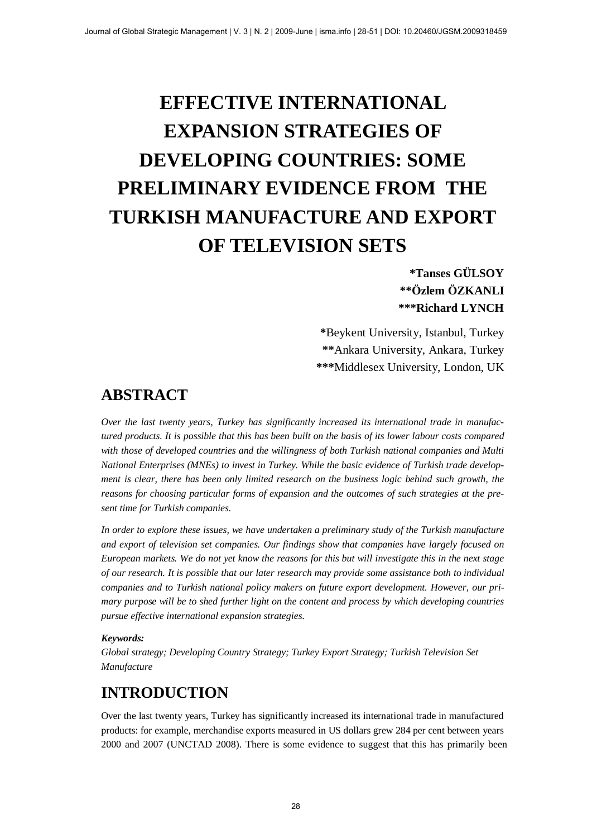# **EFFECTIVE INTERNATIONAL EXPANSION STRATEGIES OF DEVELOPING COUNTRIES: SOME PRELIMINARY EVIDENCE FROM THE TURKISH MANUFACTURE AND EXPORT OF TELEVISION SETS**

### **\*Tanses GÜLSOY \*\*Özlem ÖZKANLI \*\*\*Richard LYNCH**

**\***Beykent University, Istanbul, Turkey **\*\***Ankara University, Ankara, Turkey **\*\*\***Middlesex University, London, UK

### **ABSTRACT**

*Over the last twenty years, Turkey has significantly increased its international trade in manufactured products. It is possible that this has been built on the basis of its lower labour costs compared with those of developed countries and the willingness of both Turkish national companies and Multi National Enterprises (MNEs) to invest in Turkey. While the basic evidence of Turkish trade development is clear, there has been only limited research on the business logic behind such growth, the reasons for choosing particular forms of expansion and the outcomes of such strategies at the present time for Turkish companies.*

*In order to explore these issues, we have undertaken a preliminary study of the Turkish manufacture and export of television set companies. Our findings show that companies have largely focused on European markets. We do not yet know the reasons for this but will investigate this in the next stage of our research. It is possible that our later research may provide some assistance both to individual companies and to Turkish national policy makers on future export development. However, our primary purpose will be to shed further light on the content and process by which developing countries pursue effective international expansion strategies.*

#### *Keywords:*

*Global strategy; Developing Country Strategy; Turkey Export Strategy; Turkish Television Set Manufacture*

# **INTRODUCTION**

Over the last twenty years, Turkey has significantly increased its international trade in manufactured products: for example, merchandise exports measured in US dollars grew 284 per cent between years 2000 and 2007 (UNCTAD 2008). There is some evidence to suggest that this has primarily been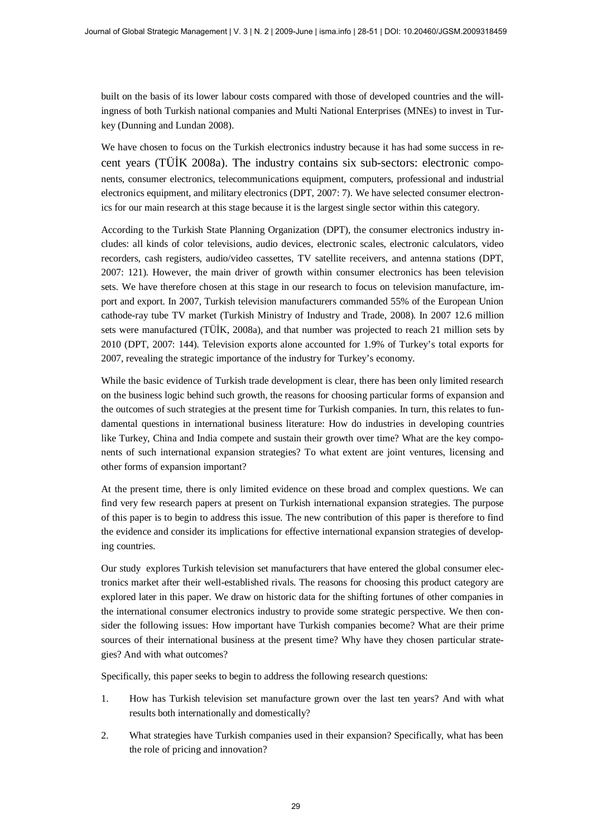built on the basis of its lower labour costs compared with those of developed countries and the willingness of both Turkish national companies and Multi National Enterprises (MNEs) to invest in Turkey (Dunning and Lundan 2008).

We have chosen to focus on the Turkish electronics industry because it has had some success in recent years (TÜİK 2008a). The industry contains six sub-sectors: electronic components, consumer electronics, telecommunications equipment, computers, professional and industrial electronics equipment, and military electronics (DPT, 2007: 7). We have selected consumer electronics for our main research at this stage because it is the largest single sector within this category.

According to the Turkish State Planning Organization (DPT), the consumer electronics industry includes: all kinds of color televisions, audio devices, electronic scales, electronic calculators, video recorders, cash registers, audio/video cassettes, TV satellite receivers, and antenna stations (DPT, 2007: 121). However, the main driver of growth within consumer electronics has been television sets. We have therefore chosen at this stage in our research to focus on television manufacture, import and export. In 2007, Turkish television manufacturers commanded 55% of the European Union cathode-ray tube TV market (Turkish Ministry of Industry and Trade, 2008). In 2007 12.6 million sets were manufactured (TÜİK, 2008a), and that number was projected to reach 21 million sets by 2010 (DPT, 2007: 144). Television exports alone accounted for 1.9% of Turkey's total exports for 2007, revealing the strategic importance of the industry for Turkey's economy.

While the basic evidence of Turkish trade development is clear, there has been only limited research on the business logic behind such growth, the reasons for choosing particular forms of expansion and the outcomes of such strategies at the present time for Turkish companies. In turn, this relates to fundamental questions in international business literature: How do industries in developing countries like Turkey, China and India compete and sustain their growth over time? What are the key components of such international expansion strategies? To what extent are joint ventures, licensing and other forms of expansion important?

At the present time, there is only limited evidence on these broad and complex questions. We can find very few research papers at present on Turkish international expansion strategies. The purpose of this paper is to begin to address this issue. The new contribution of this paper is therefore to find the evidence and consider its implications for effective international expansion strategies of developing countries.

Our study explores Turkish television set manufacturers that have entered the global consumer electronics market after their well-established rivals. The reasons for choosing this product category are explored later in this paper. We draw on historic data for the shifting fortunes of other companies in the international consumer electronics industry to provide some strategic perspective. We then consider the following issues: How important have Turkish companies become? What are their prime sources of their international business at the present time? Why have they chosen particular strategies? And with what outcomes?

Specifically, this paper seeks to begin to address the following research questions:

- 1. How has Turkish television set manufacture grown over the last ten years? And with what results both internationally and domestically?
- 2. What strategies have Turkish companies used in their expansion? Specifically, what has been the role of pricing and innovation?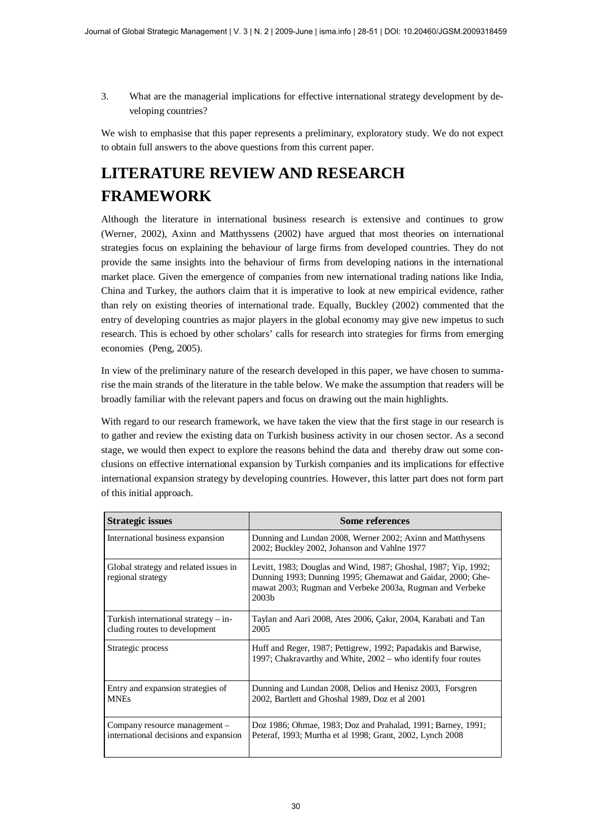3. What are the managerial implications for effective international strategy development by developing countries?

We wish to emphasise that this paper represents a preliminary, exploratory study. We do not expect to obtain full answers to the above questions from this current paper.

# **LITERATURE REVIEW AND RESEARCH FRAMEWORK**

Although the literature in international business research is extensive and continues to grow (Werner, 2002), Axinn and Matthyssens (2002) have argued that most theories on international strategies focus on explaining the behaviour of large firms from developed countries. They do not provide the same insights into the behaviour of firms from developing nations in the international market place. Given the emergence of companies from new international trading nations like India, China and Turkey, the authors claim that it is imperative to look at new empirical evidence, rather than rely on existing theories of international trade. Equally, Buckley (2002) commented that the entry of developing countries as major players in the global economy may give new impetus to such research. This is echoed by other scholars' calls for research into strategies for firms from emerging economies (Peng, 2005).

In view of the preliminary nature of the research developed in this paper, we have chosen to summarise the main strands of the literature in the table below. We make the assumption that readers will be broadly familiar with the relevant papers and focus on drawing out the main highlights.

With regard to our research framework, we have taken the view that the first stage in our research is to gather and review the existing data on Turkish business activity in our chosen sector. As a second stage, we would then expect to explore the reasons behind the data and thereby draw out some conclusions on effective international expansion by Turkish companies and its implications for effective international expansion strategy by developing countries. However, this latter part does not form part of this initial approach.

| <b>Strategic issues</b>                                                 | <b>Some references</b>                                                                                                                                                                                          |
|-------------------------------------------------------------------------|-----------------------------------------------------------------------------------------------------------------------------------------------------------------------------------------------------------------|
| International business expansion                                        | Dunning and Lundan 2008, Werner 2002; Axinn and Matthysens<br>2002; Buckley 2002, Johanson and Vahlne 1977                                                                                                      |
| Global strategy and related issues in<br>regional strategy              | Levitt, 1983; Douglas and Wind, 1987; Ghoshal, 1987; Yip, 1992;<br>Dunning 1993; Dunning 1995; Ghemawat and Gaidar, 2000; Ghe-<br>mawat 2003; Rugman and Verbeke 2003a, Rugman and Verbeke<br>2003 <sub>b</sub> |
| Turkish international strategy $-$ in-<br>cluding routes to development | Taylan and Aari 2008, Ates 2006, Çakır, 2004, Karabati and Tan<br>2005                                                                                                                                          |
| Strategic process                                                       | Huff and Reger, 1987; Pettigrew, 1992; Papadakis and Barwise,<br>1997; Chakravarthy and White, 2002 – who identify four routes                                                                                  |
| Entry and expansion strategies of<br><b>MNEs</b>                        | Dunning and Lundan 2008, Delios and Henisz 2003, Forsgren<br>2002, Bartlett and Ghoshal 1989, Doz et al 2001                                                                                                    |
| Company resource management –<br>international decisions and expansion  | Doz 1986; Ohmae, 1983; Doz and Prahalad, 1991; Barney, 1991;<br>Peteraf, 1993; Murtha et al 1998; Grant, 2002, Lynch 2008                                                                                       |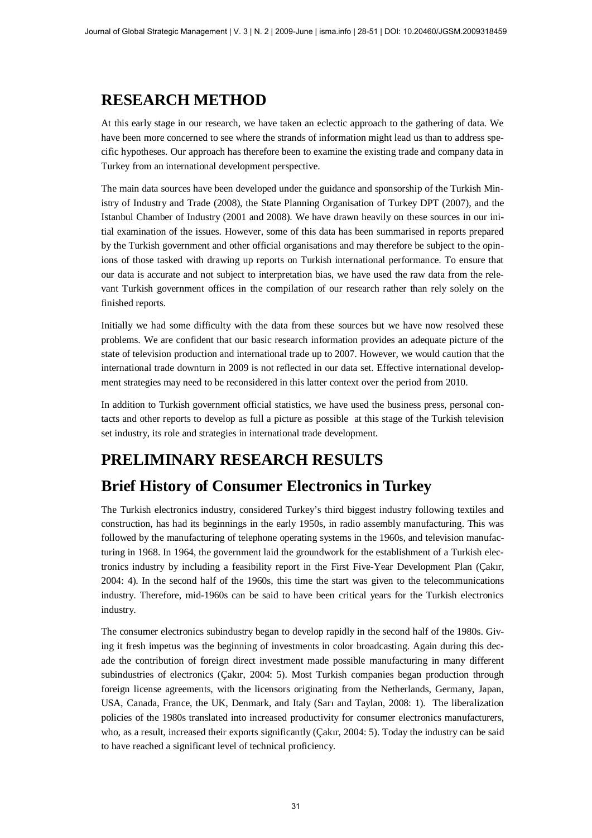# **RESEARCH METHOD**

At this early stage in our research, we have taken an eclectic approach to the gathering of data. We have been more concerned to see where the strands of information might lead us than to address specific hypotheses. Our approach has therefore been to examine the existing trade and company data in Turkey from an international development perspective.

The main data sources have been developed under the guidance and sponsorship of the Turkish Ministry of Industry and Trade (2008), the State Planning Organisation of Turkey DPT (2007), and the Istanbul Chamber of Industry (2001 and 2008). We have drawn heavily on these sources in our initial examination of the issues. However, some of this data has been summarised in reports prepared by the Turkish government and other official organisations and may therefore be subject to the opinions of those tasked with drawing up reports on Turkish international performance. To ensure that our data is accurate and not subject to interpretation bias, we have used the raw data from the relevant Turkish government offices in the compilation of our research rather than rely solely on the finished reports.

Initially we had some difficulty with the data from these sources but we have now resolved these problems. We are confident that our basic research information provides an adequate picture of the state of television production and international trade up to 2007. However, we would caution that the international trade downturn in 2009 is not reflected in our data set. Effective international development strategies may need to be reconsidered in this latter context over the period from 2010.

In addition to Turkish government official statistics, we have used the business press, personal contacts and other reports to develop as full a picture as possible at this stage of the Turkish television set industry, its role and strategies in international trade development.

# **PRELIMINARY RESEARCH RESULTS**

### **Brief History of Consumer Electronics in Turkey**

The Turkish electronics industry, considered Turkey's third biggest industry following textiles and construction, has had its beginnings in the early 1950s, in radio assembly manufacturing. This was followed by the manufacturing of telephone operating systems in the 1960s, and television manufacturing in 1968. In 1964, the government laid the groundwork for the establishment of a Turkish electronics industry by including a feasibility report in the First Five-Year Development Plan (Cakır, 2004: 4). In the second half of the 1960s, this time the start was given to the telecommunications industry. Therefore, mid-1960s can be said to have been critical years for the Turkish electronics industry.

The consumer electronics subindustry began to develop rapidly in the second half of the 1980s. Giving it fresh impetus was the beginning of investments in color broadcasting. Again during this decade the contribution of foreign direct investment made possible manufacturing in many different subindustries of electronics (Çakır, 2004: 5). Most Turkish companies began production through foreign license agreements, with the licensors originating from the Netherlands, Germany, Japan, USA, Canada, France, the UK, Denmark, and Italy (Sarı and Taylan, 2008: 1). The liberalization policies of the 1980s translated into increased productivity for consumer electronics manufacturers, who, as a result, increased their exports significantly (Cakır, 2004: 5). Today the industry can be said to have reached a significant level of technical proficiency.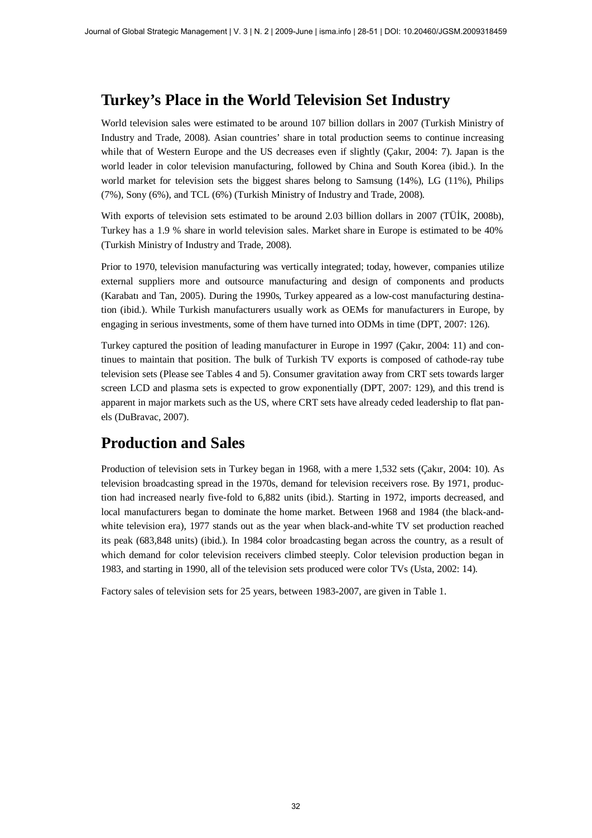### **Turkey's Place in the World Television Set Industry**

World television sales were estimated to be around 107 billion dollars in 2007 (Turkish Ministry of Industry and Trade, 2008). Asian countries' share in total production seems to continue increasing while that of Western Europe and the US decreases even if slightly (Çakır, 2004: 7). Japan is the world leader in color television manufacturing, followed by China and South Korea (ibid.). In the world market for television sets the biggest shares belong to Samsung (14%), LG (11%), Philips (7%), Sony (6%), and TCL (6%) (Turkish Ministry of Industry and Trade, 2008).

With exports of television sets estimated to be around 2.03 billion dollars in 2007 (TÜIK, 2008b), Turkey has a 1.9 % share in world television sales. Market share in Europe is estimated to be 40% (Turkish Ministry of Industry and Trade, 2008).

Prior to 1970, television manufacturing was vertically integrated; today, however, companies utilize external suppliers more and outsource manufacturing and design of components and products (Karabatu and Tan, 2005). During the 1990s, Turkey appeared as a low-cost manufacturing destination (ibid.). While Turkish manufacturers usually work as OEMs for manufacturers in Europe, by engaging in serious investments, some of them have turned into ODMs in time (DPT, 2007: 126).

Turkey captured the position of leading manufacturer in Europe in 1997 (Cakır, 2004: 11) and continues to maintain that position. The bulk of Turkish TV exports is composed of cathode-ray tube television sets (Please see Tables 4 and 5). Consumer gravitation away from CRT sets towards larger screen LCD and plasma sets is expected to grow exponentially (DPT, 2007: 129), and this trend is apparent in major markets such as the US, where CRT sets have already ceded leadership to flat panels (DuBravac, 2007).

### **Production and Sales**

Production of television sets in Turkey began in 1968, with a mere 1,532 sets (Cakır, 2004: 10). As television broadcasting spread in the 1970s, demand for television receivers rose. By 1971, production had increased nearly five-fold to 6,882 units (ibid.). Starting in 1972, imports decreased, and local manufacturers began to dominate the home market. Between 1968 and 1984 (the black-andwhite television era), 1977 stands out as the year when black-and-white TV set production reached its peak (683,848 units) (ibid.). In 1984 color broadcasting began across the country, as a result of which demand for color television receivers climbed steeply. Color television production began in 1983, and starting in 1990, all of the television sets produced were color TVs (Usta, 2002: 14).

Factory sales of television sets for 25 years, between 1983-2007, are given in Table 1.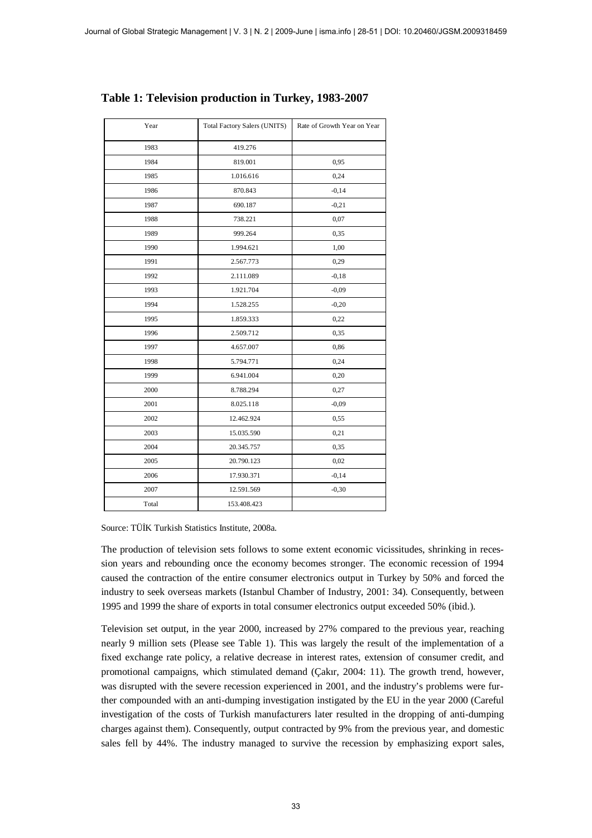| Year  | <b>Total Factory Salers (UNITS)</b> | Rate of Growth Year on Year |
|-------|-------------------------------------|-----------------------------|
| 1983  | 419.276                             |                             |
| 1984  | 819.001                             | 0,95                        |
| 1985  | 1.016.616                           | 0,24                        |
| 1986  | 870.843                             | $-0,14$                     |
| 1987  | 690.187                             | $-0,21$                     |
| 1988  | 738.221                             | 0,07                        |
| 1989  | 999.264                             | 0,35                        |
| 1990  | 1.994.621                           | 1,00                        |
| 1991  | 2.567.773                           | 0,29                        |
| 1992  | 2.111.089                           | $-0,18$                     |
| 1993  | 1.921.704                           | $-0,09$                     |
| 1994  | 1.528.255                           | $-0,20$                     |
| 1995  | 1.859.333                           | 0,22                        |
| 1996  | 2.509.712                           | 0,35                        |
| 1997  | 4.657.007                           | 0,86                        |
| 1998  | 5.794.771                           | 0,24                        |
| 1999  | 6.941.004                           | 0,20                        |
| 2000  | 8.788.294                           | 0,27                        |
| 2001  | 8.025.118                           | $-0,09$                     |
| 2002  | 12.462.924                          | 0,55                        |
| 2003  | 15.035.590                          | 0,21                        |
| 2004  | 20.345.757                          | 0,35                        |
| 2005  | 20.790.123                          | 0,02                        |
| 2006  | 17.930.371                          | $-0,14$                     |
| 2007  | 12.591.569                          | $-0,30$                     |
| Total | 153.408.423                         |                             |

#### **Table 1: Television production in Turkey, 1983-2007**

Source: TÜİK Turkish Statistics Institute, 2008a.

The production of television sets follows to some extent economic vicissitudes, shrinking in recession years and rebounding once the economy becomes stronger. The economic recession of 1994 caused the contraction of the entire consumer electronics output in Turkey by 50% and forced the industry to seek overseas markets (Istanbul Chamber of Industry, 2001: 34). Consequently, between 1995 and 1999 the share of exports in total consumer electronics output exceeded 50% (ibid.).

Television set output, in the year 2000, increased by 27% compared to the previous year, reaching nearly 9 million sets (Please see Table 1). This was largely the result of the implementation of a fixed exchange rate policy, a relative decrease in interest rates, extension of consumer credit, and promotional campaigns, which stimulated demand (Cakır, 2004: 11). The growth trend, however, was disrupted with the severe recession experienced in 2001, and the industry's problems were further compounded with an anti-dumping investigation instigated by the EU in the year 2000 (Careful investigation of the costs of Turkish manufacturers later resulted in the dropping of anti-dumping charges against them). Consequently, output contracted by 9% from the previous year, and domestic sales fell by 44%. The industry managed to survive the recession by emphasizing export sales,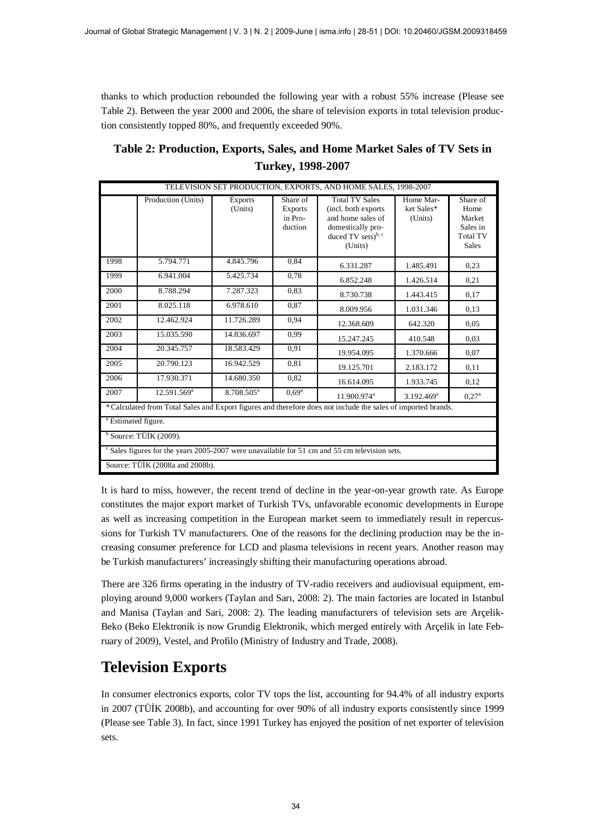thanks to which production rebounded the following year with a robust 55% increase (Please see Table 2). Between the year 2000 and 2006, the share of television exports in total television production consistently topped 80%, and frequently exceeded 90%.

| Table 2: Production, Exports, Sales, and Home Market Sales of TV Sets in |
|--------------------------------------------------------------------------|
| Turkey, 1998-2007                                                        |

|                                |                                 |                        |                                           | TELEVISION SET PRODUCTION, EXPORTS, AND HOME SALES, 1998-2007                                                                       |                                    |                                                                           |
|--------------------------------|---------------------------------|------------------------|-------------------------------------------|-------------------------------------------------------------------------------------------------------------------------------------|------------------------------------|---------------------------------------------------------------------------|
|                                | Production (Units)              | Exports<br>(Units)     | Share of<br>Exports<br>in Pro-<br>duction | <b>Total TV Sales</b><br>(incl. both exports<br>and home sales of<br>domestically pro-<br>duced TV sets) <sup>b, c</sup><br>(Units) | Home Mar-<br>ket Sales*<br>(Units) | Share of<br>Home<br>Market<br>Sales in<br><b>Total TV</b><br><b>Sales</b> |
| 1998                           | 5.794.771                       | 4.845.796              | 0.84                                      | 6.331.287                                                                                                                           | 1.485.491                          | 0,23                                                                      |
| 1999                           | 6.941.004                       | 5.425.734              | 0,78                                      | 6.852.248                                                                                                                           | 1.426.514                          | 0,21                                                                      |
| 2000                           | 8.788.294                       | 7.287.323              | 0,83                                      | 8.730.738                                                                                                                           | 1.443.415                          | 0,17                                                                      |
| 2001                           | 8.025.118                       | 6.978.610              | 0,87                                      | 8.009.956                                                                                                                           | 1.031.346                          | 0,13                                                                      |
| 2002                           | 12.462.924                      | 11.726.289             | 0,94                                      | 12.368.609                                                                                                                          | 642.320                            | 0.05                                                                      |
| 2003                           | 15.035.590                      | 14.836.697             | 0.99                                      | 15.247.245                                                                                                                          | 410.548                            | 0.03                                                                      |
| 2004                           | 20.345.757                      | 18.583.429             | 0.91                                      | 19.954.095                                                                                                                          | 1.370.666                          | 0,07                                                                      |
| 2005                           | 20.790.123                      | 16.942.529             | 0,81                                      | 19.125.701                                                                                                                          | 2.183.172                          | 0,11                                                                      |
| 2006                           | 17.930.371                      | 14.680.350             | 0.82                                      | 16.614.095                                                                                                                          | 1.933.745                          | 0,12                                                                      |
| 2007                           | 12.591.569 <sup>a</sup>         | 8.708.505 <sup>a</sup> | $0,69^{\overline{a}}$                     | 11.900.974 <sup>a</sup>                                                                                                             | $3.192.469$ <sup>a</sup>           | $0,27^{\rm a}$                                                            |
|                                |                                 |                        |                                           | *Calculated from Total Sales and Export figures and therefore does not include the sales of imported brands.                        |                                    |                                                                           |
| <sup>a</sup> Estimated figure. |                                 |                        |                                           |                                                                                                                                     |                                    |                                                                           |
|                                | $b$ Source: TÜİK (2009).        |                        |                                           |                                                                                                                                     |                                    |                                                                           |
|                                |                                 |                        |                                           | <sup>c</sup> Sales figures for the years 2005-2007 were unavailable for 51 cm and 55 cm television sets.                            |                                    |                                                                           |
|                                | Source: TÜİK (2008a and 2008b). |                        |                                           |                                                                                                                                     |                                    |                                                                           |

It is hard to miss, however, the recent trend of decline in the year-on-year growth rate. As Europe constitutes the major export market of Turkish TVs, unfavorable economic developments in Europe as well as increasing competition in the European market seem to immediately result in repercussions for Turkish TV manufacturers. One of the reasons for the declining production may be the increasing consumer preference for LCD and plasma televisions in recent years. Another reason may be Turkish manufacturers' increasingly shifting their manufacturing operations abroad.

There are 326 firms operating in the industry of TV-radio receivers and audiovisual equipment, employing around 9,000 workers (Taylan and Sarı, 2008: 2). The main factories are located in Istanbul and Manisa (Taylan and Sari, 2008: 2). The leading manufacturers of television sets are Arçelik-Beko (Beko Elektronik is now Grundig Elektronik, which merged entirely with Arçelik in late February of 2009), Vestel, and Profilo (Ministry of Industry and Trade, 2008).

# **Television Exports**

In consumer electronics exports, color TV tops the list, accounting for 94.4% of all industry exports in 2007 (TÜİK 2008b), and accounting for over 90% of all industry exports consistently since 1999 (Please see Table 3). In fact, since 1991 Turkey has enjoyed the position of net exporter of television sets.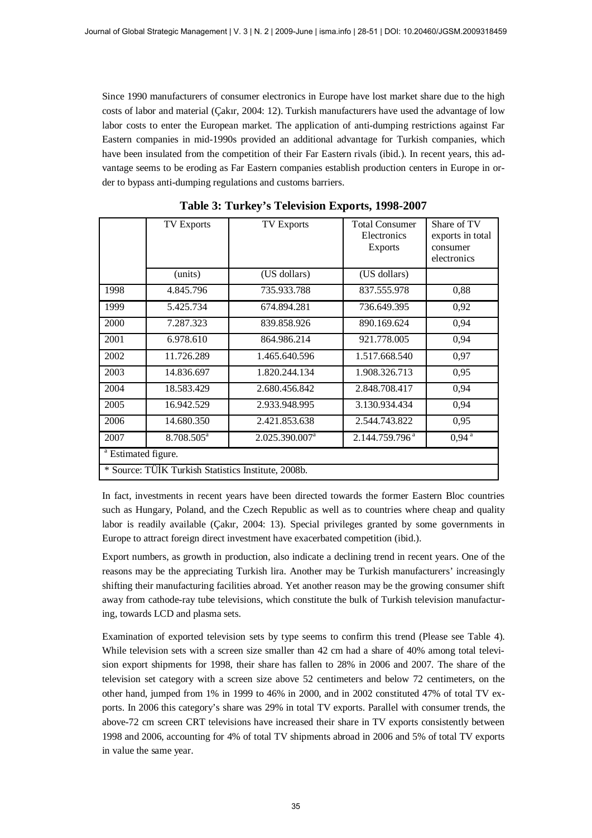Since 1990 manufacturers of consumer electronics in Europe have lost market share due to the high costs of labor and material (Çakır, 2004: 12). Turkish manufacturers have used the advantage of low labor costs to enter the European market. The application of anti-dumping restrictions against Far Eastern companies in mid-1990s provided an additional advantage for Turkish companies, which have been insulated from the competition of their Far Eastern rivals (ibid.). In recent years, this advantage seems to be eroding as Far Eastern companies establish production centers in Europe in order to bypass anti-dumping regulations and customs barriers.

|                                | <b>TV Exports</b>                                   | <b>TV Exports</b>          | <b>Total Consumer</b><br>Electronics<br><b>Exports</b> | Share of TV<br>exports in total<br>consumer<br>electronics |
|--------------------------------|-----------------------------------------------------|----------------------------|--------------------------------------------------------|------------------------------------------------------------|
|                                | (units)                                             | (US dollars)               | (US dollars)                                           |                                                            |
| 1998                           | 4.845.796                                           | 735.933.788                | 837.555.978                                            | 0,88                                                       |
| 1999                           | 5.425.734                                           | 674.894.281                | 736.649.395                                            | 0,92                                                       |
| 2000                           | 7.287.323                                           | 839.858.926                | 890.169.624                                            | 0,94                                                       |
| 2001                           | 6.978.610                                           | 864.986.214                | 921.778.005                                            | 0,94                                                       |
| 2002                           | 11.726.289                                          | 1.465.640.596              | 1.517.668.540                                          | 0,97                                                       |
| 2003                           | 14.836.697                                          | 1.820.244.134              | 1.908.326.713                                          | 0,95                                                       |
| 2004                           | 18.583.429                                          | 2.680.456.842              | 2.848.708.417                                          | 0,94                                                       |
| 2005                           | 16.942.529                                          | 2.933.948.995              | 3.130.934.434                                          | 0,94                                                       |
| 2006                           | 14.680.350                                          | 2.421.853.638              | 2.544.743.822                                          | 0,95                                                       |
| 2007                           | 8.708.505 <sup>a</sup>                              | 2.025.390.007 <sup>a</sup> | 2.144.759.796 <sup>a</sup>                             | 0.94 <sup>a</sup>                                          |
| <sup>a</sup> Estimated figure. |                                                     |                            |                                                        |                                                            |
|                                | * Source: TÜİK Turkish Statistics Institute, 2008b. |                            |                                                        |                                                            |

**Table 3: Turkey's Television Exports, 1998-2007**

In fact, investments in recent years have been directed towards the former Eastern Bloc countries such as Hungary, Poland, and the Czech Republic as well as to countries where cheap and quality labor is readily available (Çakır, 2004: 13). Special privileges granted by some governments in Europe to attract foreign direct investment have exacerbated competition (ibid.).

Export numbers, as growth in production, also indicate a declining trend in recent years. One of the reasons may be the appreciating Turkish lira. Another may be Turkish manufacturers' increasingly shifting their manufacturing facilities abroad. Yet another reason may be the growing consumer shift away from cathode-ray tube televisions, which constitute the bulk of Turkish television manufacturing, towards LCD and plasma sets.

Examination of exported television sets by type seems to confirm this trend (Please see Table 4). While television sets with a screen size smaller than 42 cm had a share of 40% among total television export shipments for 1998, their share has fallen to 28% in 2006 and 2007. The share of the television set category with a screen size above 52 centimeters and below 72 centimeters, on the other hand, jumped from 1% in 1999 to 46% in 2000, and in 2002 constituted 47% of total TV exports. In 2006 this category's share was 29% in total TV exports. Parallel with consumer trends, the above-72 cm screen CRT televisions have increased their share in TV exports consistently between 1998 and 2006, accounting for 4% of total TV shipments abroad in 2006 and 5% of total TV exports in value the same year.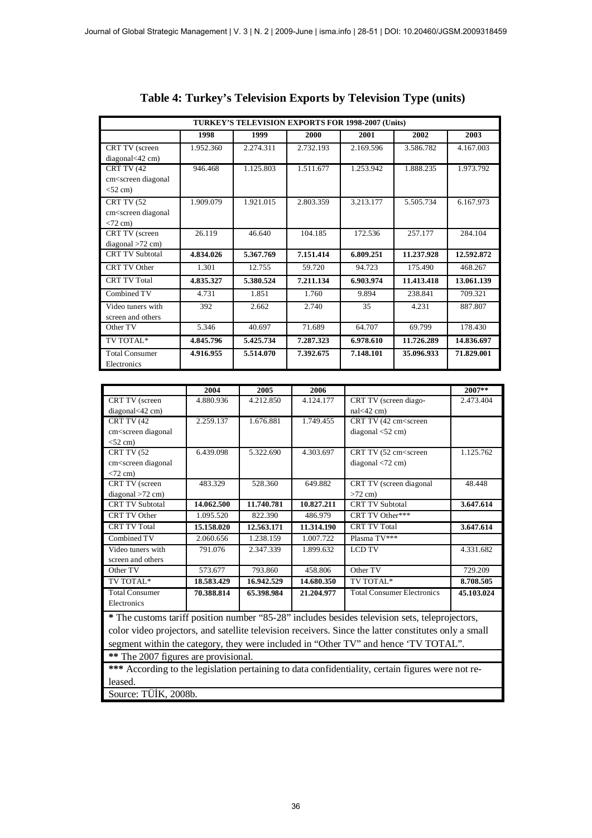| TURKEY'S TELEVISION EXPORTS FOR 1998-2007 (Units)                                             |           |           |           |           |            |            |  |  |  |  |
|-----------------------------------------------------------------------------------------------|-----------|-----------|-----------|-----------|------------|------------|--|--|--|--|
|                                                                                               | 1998      | 1999      | 2000      | 2001      | 2002       | 2003       |  |  |  |  |
| <b>CRT TV</b> (screen                                                                         | 1.952.360 | 2.274.311 | 2.732.193 | 2.169.596 | 3.586.782  | 4.167.003  |  |  |  |  |
| diagonal<42 cm)                                                                               |           |           |           |           |            |            |  |  |  |  |
| CRT TV (42                                                                                    | 946.468   | 1.125.803 | 1.511.677 | 1.253.942 | 1.888.235  | 1.973.792  |  |  |  |  |
| cm <screen diagonal<="" td=""><td></td><td></td><td></td><td></td><td></td><td></td></screen> |           |           |           |           |            |            |  |  |  |  |
| $<$ 52 cm $)$                                                                                 |           |           |           |           |            |            |  |  |  |  |
| CRT TV (52                                                                                    | 1.909.079 | 1.921.015 | 2.803.359 | 3.213.177 | 5.505.734  | 6.167.973  |  |  |  |  |
| cm <screen diagonal<="" td=""><td></td><td></td><td></td><td></td><td></td><td></td></screen> |           |           |           |           |            |            |  |  |  |  |
| $<$ 72 cm)                                                                                    |           |           |           |           |            |            |  |  |  |  |
| <b>CRT TV</b> (screen                                                                         | 26.119    | 46.640    | 104.185   | 172.536   | 257.177    | 284.104    |  |  |  |  |
| $diagonal > 72$ cm)                                                                           |           |           |           |           |            |            |  |  |  |  |
| <b>CRT TV Subtotal</b>                                                                        | 4.834.026 | 5.367.769 | 7.151.414 | 6.809.251 | 11.237.928 | 12.592.872 |  |  |  |  |
| CRT TV Other                                                                                  | 1.301     | 12.755    | 59.720    | 94.723    | 175.490    | 468.267    |  |  |  |  |
| <b>CRT TV Total</b>                                                                           | 4.835.327 | 5.380.524 | 7.211.134 | 6.903.974 | 11.413.418 | 13.061.139 |  |  |  |  |
| Combined TV                                                                                   | 4.731     | 1.851     | 1.760     | 9.894     | 238.841    | 709.321    |  |  |  |  |
| Video tuners with                                                                             | 392       | 2.662     | 2.740     | 35        | 4.231      | 887.807    |  |  |  |  |
| screen and others                                                                             |           |           |           |           |            |            |  |  |  |  |
| Other TV                                                                                      | 5.346     | 40.697    | 71.689    | 64.707    | 69.799     | 178.430    |  |  |  |  |
| TV TOTAL*                                                                                     | 4.845.796 | 5.425.734 | 7.287.323 | 6.978.610 | 11.726.289 | 14.836.697 |  |  |  |  |
| <b>Total Consumer</b>                                                                         | 4.916.955 | 5.514.070 | 7.392.675 | 7.148.101 | 35.096.933 | 71.829.001 |  |  |  |  |
| Electronics                                                                                   |           |           |           |           |            |            |  |  |  |  |

|                                                                                                                      | 2004       | 2005       | 2006       |                                                                                                       | 2007**     |
|----------------------------------------------------------------------------------------------------------------------|------------|------------|------------|-------------------------------------------------------------------------------------------------------|------------|
| CRT TV (screen                                                                                                       | 4.880.936  | 4.212.850  | 4.124.177  | CRT TV (screen diago-                                                                                 | 2.473.404  |
| diagonal<42 cm)                                                                                                      |            |            |            | $nal < 42$ cm)                                                                                        |            |
| CRT TV (42                                                                                                           | 2.259.137  | 1.676.881  | 1.749.455  | CRT TV (42 cm <screen< td=""><td></td></screen<>                                                      |            |
| cm <screen diagonal<="" td=""><td></td><td></td><td></td><td>diagonal <math>&lt;</math>52 cm)</td><td></td></screen> |            |            |            | diagonal $<$ 52 cm)                                                                                   |            |
| $<$ 52 cm $)$                                                                                                        |            |            |            |                                                                                                       |            |
| CRT TV (52                                                                                                           | 6.439.098  | 5.322.690  | 4.303.697  | CRT TV (52 cm <screen< td=""><td>1.125.762</td></screen<>                                             | 1.125.762  |
| cm <screen diagonal<="" td=""><td></td><td></td><td></td><td>diagonal <math>&lt;</math>72 cm)</td><td></td></screen> |            |            |            | diagonal $<$ 72 cm)                                                                                   |            |
| $< 72$ cm)                                                                                                           |            |            |            |                                                                                                       |            |
| CRT TV (screen                                                                                                       | 483.329    | 528.360    | 649.882    | CRT TV (screen diagonal                                                                               | 48.448     |
| $diagonal > 72$ cm)                                                                                                  |            |            |            | $>72$ cm)                                                                                             |            |
| <b>CRT TV Subtotal</b>                                                                                               | 14.062.500 | 11.740.781 | 10.827.211 | <b>CRT TV Subtotal</b>                                                                                | 3.647.614  |
| CRT TV Other                                                                                                         | 1.095.520  | 822.390    | 486.979    | CRT TV Other***                                                                                       |            |
| <b>CRT TV Total</b>                                                                                                  | 15.158.020 | 12.563.171 | 11.314.190 | <b>CRT TV Total</b>                                                                                   | 3.647.614  |
| Combined TV                                                                                                          | 2.060.656  | 1.238.159  | 1.007.722  | Plasma TV***                                                                                          |            |
| Video tuners with                                                                                                    | 791.076    | 2.347.339  | 1.899.632  | <b>LCD TV</b>                                                                                         | 4.331.682  |
| screen and others                                                                                                    |            |            |            |                                                                                                       |            |
| Other TV                                                                                                             | 573.677    | 793.860    | 458.806    | Other TV                                                                                              | 729.209    |
| TV TOTAL*                                                                                                            | 18.583.429 | 16.942.529 | 14.680.350 | TV TOTAL*                                                                                             | 8.708.505  |
| <b>Total Consumer</b>                                                                                                | 70.388.814 | 65.398.984 | 21.204.977 | <b>Total Consumer Electronics</b>                                                                     | 45.103.024 |
| Electronics                                                                                                          |            |            |            |                                                                                                       |            |
|                                                                                                                      |            |            |            | * The customs tariff position number "85-28" includes besides television sets, teleprojectors,        |            |
|                                                                                                                      |            |            |            | color video projectors, and satellite television receivers. Since the latter constitutes only a small |            |
|                                                                                                                      |            |            |            | segment within the category, they were included in "Other TV" and hence 'TV TOTAL".                   |            |

**\*\*** The 2007 figures are provisional.

**\*\*\*** According to the legislation pertaining to data confidentiality, certain figures were not released.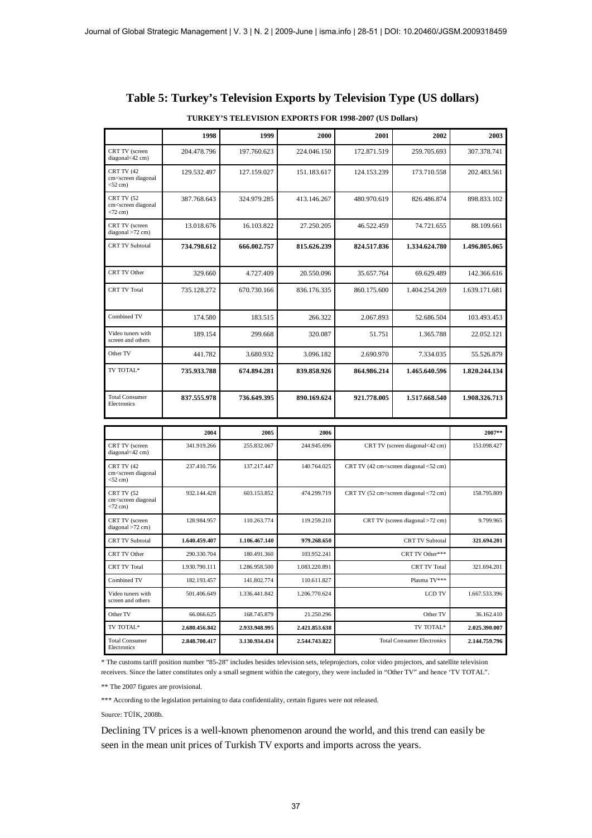#### **Table 5: Turkey's Television Exports by Television Type (US dollars)**

|                                                                                  | 1998          | 1999          | 2000          | 2001          | 2002                                                                                 | 2003          |
|----------------------------------------------------------------------------------|---------------|---------------|---------------|---------------|--------------------------------------------------------------------------------------|---------------|
| CRT TV (screen<br>diagonal<42 cm)                                                | 204.478.796   | 197.760.623   | 224.046.150   | 172.871.519   | 259.705.693                                                                          | 307.378.741   |
| <b>CRT TV (42)</b><br>cm <screen diagonal<br=""><math>&lt;</math>52 cm)</screen> | 129.532.497   | 127.159.027   | 151.183.617   | 124.153.239   | 173.710.558                                                                          | 202.483.561   |
| <b>CRT TV (52)</b><br>cm <screen diagonal<br=""><math>&lt;</math>72 cm)</screen> | 387.768.643   | 324.979.285   | 413.146.267   | 480.970.619   | 826.486.874                                                                          | 898.833.102   |
| CRT TV (screen<br>$diagonal > 72$ cm)                                            | 13.018.676    | 16.103.822    | 27.250.205    | 46.522.459    | 74.721.655                                                                           | 88.109.661    |
| <b>CRT TV Subtotal</b>                                                           | 734.798.612   | 666.002.757   | 815.626.239   | 824.517.836   | 1.334.624.780                                                                        | 1.496.805.065 |
| <b>CRT TV Other</b>                                                              | 329.660       | 4.727.409     | 20.550.096    | 35.657.764    | 69.629.489                                                                           | 142.366.616   |
| <b>CRT TV Total</b>                                                              | 735.128.272   | 670.730.166   | 836.176.335   | 860.175.600   | 1.404.254.269                                                                        | 1.639.171.681 |
| Combined TV                                                                      | 174.580       | 183.515       | 266.322       | 2.067.893     | 52.686.504                                                                           | 103.493.453   |
| Video tuners with<br>screen and others                                           | 189.154       | 299.668       | 320.087       | 51.751        | 1.365.788                                                                            | 22.052.121    |
| Other TV                                                                         | 441.782       | 3.680.932     | 3.096.182     | 2.690.970     | 7.334.035                                                                            | 55.526.879    |
| TV TOTAL*                                                                        | 735.933.788   | 674.894.281   | 839.858.926   | 864.986.214   | 1.465.640.596                                                                        | 1.820.244.134 |
| <b>Total Consumer</b><br>Electronics                                             | 837.555.978   | 736.649.395   | 890.169.624   | 921.778.005   | 1.517.668.540                                                                        | 1.908.326.713 |
|                                                                                  | 2004          | 2005          | 2006          |               |                                                                                      | 2007**        |
| CRT TV (screen<br>diagonal<42 cm)                                                | 341.919.266   | 255.832.067   | 244.945.696   |               | CRT TV (screen diagonal<42 cm)                                                       | 153.098.427   |
| <b>CRT TV (42)</b><br>cm <screen diagonal<br=""><math>&lt;</math>52 cm)</screen> | 237.410.756   | 137.217.447   | 140.764.025   |               | CRT TV (42 cm <screen <52="" cm)<="" diagonal="" td=""><td></td></screen>            |               |
| CRT TV (52<br>cm <screen diagonal<br=""><math>&lt;</math>72 cm)</screen>         | 932.144.428   | 603.153.852   | 474.299.719   |               | CRT TV (52 cm <screen <72="" cm)<="" diagonal="" td=""><td>158.795.809</td></screen> | 158.795.809   |
| CRT TV (screen<br>$diagonal > 72$ cm)                                            | 128.984.957   | 110.263.774   | 119.259.210   |               | CRT TV (screen diagonal >72 cm)                                                      | 9.799.965     |
| <b>CRT TV Subtotal</b>                                                           | 1.640.459.407 | 1.106.467.140 | 979.268.650   |               | <b>CRT TV Subtotal</b>                                                               | 321.694.201   |
| CRT TV Other                                                                     | 290.330.704   | 180.491.360   | 103.952.241   |               | CRT TV Other***                                                                      |               |
| <b>CRT TV Total</b>                                                              | 1.930.790.111 | 1.286.958.500 | 1.083.220.891 |               | <b>CRT TV Total</b>                                                                  | 321.694.201   |
| Combined TV                                                                      | 182.193.457   | 141.802.774   | 110.611.827   |               | Plasma TV***                                                                         |               |
| Video tuners with<br>screen and others                                           | 501.406.649   | 1.336.441.842 | 1.206.770.624 | <b>LCD TV</b> |                                                                                      | 1.667.533.396 |
| Other TV                                                                         | 66.066.625    | 168.745.879   | 21.250.296    |               | Other TV                                                                             | 36.162.410    |
| TV TOTAL*                                                                        | 2.680.456.842 | 2.933.948.995 | 2.421.853.638 |               | TV TOTAL*                                                                            | 2.025.390.007 |
| <b>Total Consumer</b><br>Electronics                                             | 2.848.708.417 | 3.130.934.434 | 2.544.743.822 |               | <b>Total Consumer Electronics</b><br>2.144.759.796                                   |               |

#### **TURKEY'S TELEVISION EXPORTS FOR 1998-2007 (US Dollars)**

\* The customs tariff position number "85-28" includes besides television sets, teleprojectors, color video projectors, and satellite television receivers. Since the latter constitutes only a small segment within the category, they were included in "Other TV" and hence 'TV TOTAL".

\*\* The 2007 figures are provisional.

\*\*\* According to the legislation pertaining to data confidentiality, certain figures were not released.

Source: TÜİK, 2008b.

Declining TV prices is a well-known phenomenon around the world, and this trend can easily be seen in the mean unit prices of Turkish TV exports and imports across the years.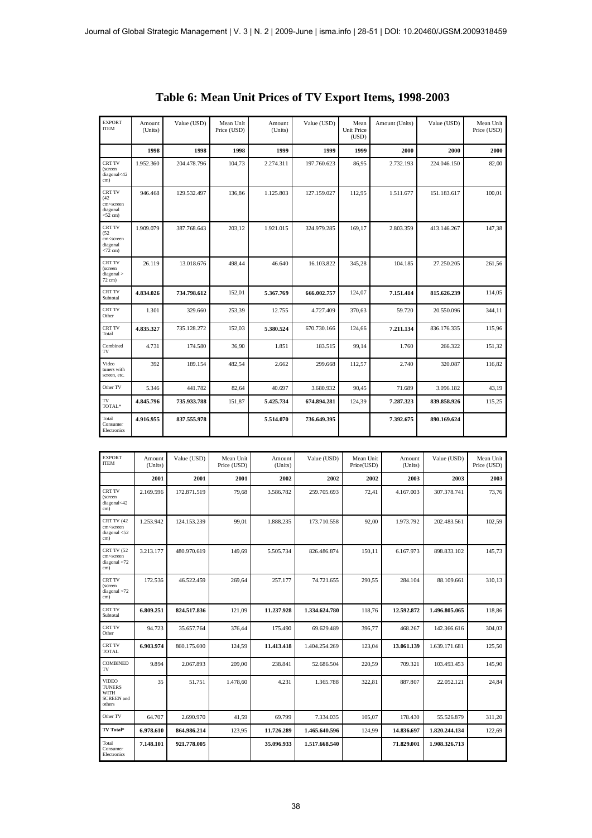| <b>EXPORT</b><br><b>ITEM</b>                                                            | Amount<br>(Units) | Value (USD) | Mean Unit<br>Price (USD) | Amount<br>(Units) | Value (USD) | Mean<br><b>Unit Price</b><br>(USD) | Amount (Units)     | Value (USD) | Mean Unit<br>Price (USD) |
|-----------------------------------------------------------------------------------------|-------------------|-------------|--------------------------|-------------------|-------------|------------------------------------|--------------------|-------------|--------------------------|
|                                                                                         | 1998              | 1998        | 1998                     | 1999              | 1999        | 1999                               | 2000               | 2000        | 2000                     |
| <b>CRT TV</b><br>(screen<br>diagonal<42<br>cm)                                          | 1.952.360         | 204.478.796 | 104,73                   | 2.274.311         | 197.760.623 | 86,95                              | 2.732.193          | 224.046.150 | 82,00                    |
| <b>CRT TV</b><br>(42)<br>cm <screen<br>diagonal<br/><math>&lt;</math>52 cm)</screen<br> | 946.468           | 129.532.497 | 136,86                   | 1.125.803         | 127.159.027 | 112,95                             | 1.511.677          | 151.183.617 | 100,01                   |
| CRT TV<br>(52)<br>cm <screen<br>diagonal<br/><math>&lt;</math>72 cm)</screen<br>        | 1.909.079         | 387.768.643 | 203,12                   | 1.921.015         | 324.979.285 | 169,17                             | 2.803.359          | 413.146.267 | 147,38                   |
| <b>CRT TV</b><br>(screen<br>diagonal ><br>72 cm)                                        | 26.119            | 13.018.676  | 498,44                   | 46.640            | 16.103.822  | 345,28                             | 104.185            | 27.250.205  | 261,56                   |
| <b>CRT TV</b><br>Subtotal                                                               | 4.834.026         | 734.798.612 | 152,01                   | 5.367.769         | 666.002.757 | 124,07                             | 7.151.414          | 815.626.239 | 114,05                   |
| <b>CRT TV</b><br>Other                                                                  | 1.301             | 329.660     | 253,39                   | 12.755            | 4.727.409   | 370,63                             | 59.720             | 20.550.096  | 344,11                   |
| <b>CRT TV</b><br>Total                                                                  | 4.835.327         | 735.128.272 | 152,03                   | 5.380.524         | 670.730.166 | 124,66                             | 7.211.134          | 836.176.335 | 115,96                   |
| Combined<br>TV                                                                          | 4.731             | 174.580     | 36,90                    | 1.851             | 183.515     | 99,14                              | 1.760              | 266.322     | 151,32                   |
| Video<br>tuners with<br>screen, etc.                                                    | 392               | 189.154     | 482,54                   | 2.662             | 299.668     | 112,57                             | 2.740              | 320.087     | 116,82                   |
| Other TV                                                                                | 5.346             | 441.782     | 82,64                    | 40.697            | 3.680.932   | 90,45                              | 71.689             | 3.096.182   | 43,19                    |
| TV<br>TOTAL*                                                                            | 4.845.796         | 735.933.788 | 151,87                   | 5.425.734         | 674.894.281 | 124,39                             | 7.287.323          | 839.858.926 | 115,25                   |
| Total<br>Consumer<br>Electronics                                                        | 4.916.955         | 837.555.978 |                          | 5.514.070         | 736.649.395 |                                    | 7.392.675          | 890.169.624 |                          |
|                                                                                         |                   |             |                          |                   |             |                                    |                    |             |                          |
| <b>EXPORT</b><br><b>ITEM</b>                                                            | Amount<br>(Units) | Value (USD) | Mean Unit<br>Price (USD) | Amount<br>(Units) | Value (USD) | Mean Unit<br>Price(USD)            | Amount<br>(Units)  | Value (USD) | Mean Unit<br>Price (USD) |
|                                                                                         | 2001              | 2001        | 2001                     | 2002              | 2002        |                                    | 2002<br>2003       | 2003        | 2003                     |
| <b>CRT TV</b><br>(screen<br>diagonal < 42<br>cm)                                        | 2.169.596         | 172.871.519 | 79,68                    | 3.586.782         | 259.705.693 |                                    | 72,41<br>4.167.003 | 307.378.741 | 73,76                    |
| CRT TV (42<br>cm <screen<br>diagonal <math>&lt;</math> 52<br/>cm)</screen<br>           | 1.253.942         | 124.153.239 | 99,01                    | 1.888.235         | 173.710.558 |                                    | 1.973.792<br>92,00 | 202.483.561 | 102,59                   |

| ITEM                                                                         | Allioulit<br>(Units) | value (QD)  | ivicali Ullit<br>Price (USD) | Allioulit<br>(Units) | value (QD)    | ivicali Ullit<br>Price(USD) | Allioulit<br>(Units) | value (USD)   | <b>NICALL</b> OILL<br>Price (USD) |
|------------------------------------------------------------------------------|----------------------|-------------|------------------------------|----------------------|---------------|-----------------------------|----------------------|---------------|-----------------------------------|
|                                                                              | 2001                 | 2001        | 2001                         | 2002                 | 2002          | 2002                        | 2003                 | 2003          | 2003                              |
| <b>CRT TV</b><br>(screen<br>diagonal<42<br>cm)                               | 2.169.596            | 172.871.519 | 79,68                        | 3.586.782            | 259.705.693   | 72,41                       | 4.167.003            | 307.378.741   | 73,76                             |
| CRT TV (42<br>cm <screen<br>diagonal <math>&lt;</math>52<br/>cm)</screen<br> | 1.253.942            | 124.153.239 | 99,01                        | 1.888.235            | 173.710.558   | 92,00                       | 1.973.792            | 202.483.561   | 102,59                            |
| CRT TV (52<br>cm <screen<br>diagonal <math>&lt;</math>72<br/>cm)</screen<br> | 3.213.177            | 480.970.619 | 149,69                       | 5.505.734            | 826.486.874   | 150,11                      | 6.167.973            | 898.833.102   | 145,73                            |
| CRT TV<br>(screen<br>diagonal > 72<br>cm)                                    | 172.536              | 46.522.459  | 269.64                       | 257.177              | 74.721.655    | 290.55                      | 284.104              | 88.109.661    | 310,13                            |
| CRT TV<br>Subtotal                                                           | 6.809.251            | 824.517.836 | 121,09                       | 11.237.928           | 1.334.624.780 | 118,76                      | 12.592.872           | 1.496.805.065 | 118,86                            |
| CRT TV<br>Other                                                              | 94.723               | 35.657.764  | 376,44                       | 175.490              | 69.629.489    | 396,77                      | 468.267              | 142.366.616   | 304,03                            |
| <b>CRT TV</b><br><b>TOTAL</b>                                                | 6.903.974            | 860.175.600 | 124,59                       | 11.413.418           | 1.404.254.269 | 123,04                      | 13.061.139           | 1.639.171.681 | 125,50                            |
| <b>COMBINED</b><br>TV                                                        | 9.894                | 2.067.893   | 209,00                       | 238.841              | 52.686.504    | 220,59                      | 709.321              | 103.493.453   | 145,90                            |
| <b>VIDEO</b><br><b>TUNERS</b><br>WITH<br><b>SCREEN</b> and<br>others         | 35                   | 51.751      | 1.478,60                     | 4.231                | 1.365.788     | 322,81                      | 887.807              | 22.052.121    | 24,84                             |
| Other TV                                                                     | 64.707               | 2.690.970   | 41,59                        | 69.799               | 7.334.035     | 105,07                      | 178.430              | 55.526.879    | 311,20                            |
| TV Total*                                                                    | 6.978.610            | 864.986.214 | 123,95                       | 11.726.289           | 1.465.640.596 | 124,99                      | 14.836.697           | 1.820.244.134 | 122,69                            |
| Total<br>Consumer<br>Electronics                                             | 7.148.101            | 921.778.005 |                              | 35.096.933           | 1.517.668.540 |                             | 71.829.001           | 1.908.326.713 |                                   |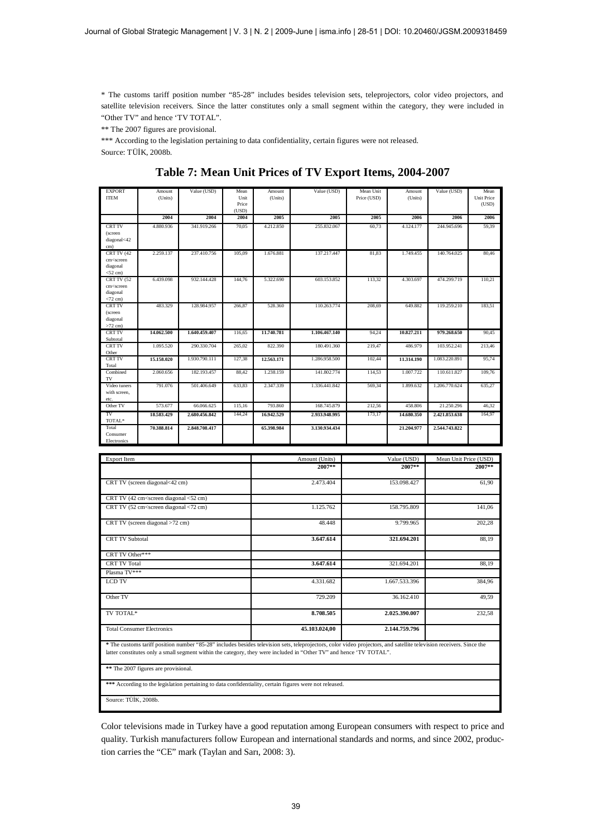\* The customs tariff position number "85-28" includes besides television sets, teleprojectors, color video projectors, and satellite television receivers. Since the latter constitutes only a small segment within the category, they were included in "Other TV" and hence 'TV TOTAL".

\*\* The 2007 figures are provisional.

\*\*\* According to the legislation pertaining to data confidentiality, certain figures were not released. Source: TÜİK, 2008b.

| <b>EXPORT</b><br><b>ITEM</b>                                                | Amount<br>(Units)                                                                                                                                                        | Value (USD)   | Mean<br>Unit   | Amount<br>(Units) | Value (USD)    | Mean Unit<br>Price (USD) | Amount<br>(Units) | Value (USD)           | Mean<br><b>Unit Price</b> |
|-----------------------------------------------------------------------------|--------------------------------------------------------------------------------------------------------------------------------------------------------------------------|---------------|----------------|-------------------|----------------|--------------------------|-------------------|-----------------------|---------------------------|
|                                                                             |                                                                                                                                                                          |               | Price<br>(USD) |                   |                |                          |                   |                       | (USD)                     |
|                                                                             | 2004                                                                                                                                                                     | 2004          | 2004           | 2005              | 2005           | 2005                     | 2006              | 2006                  | 2006                      |
| <b>CRT TV</b><br>(screen<br>diagonal<42                                     | 4.880.936                                                                                                                                                                | 341.919.266   | 70,05          | 4.212.850         | 255.832.067    | 60,73                    | 4.124.177         | 244.945.696           | 59.39                     |
| cm)                                                                         |                                                                                                                                                                          |               |                |                   |                |                          |                   |                       |                           |
| CRT TV (42                                                                  | 2.259.137                                                                                                                                                                | 237.410.756   | 105,09         | 1.676.881         | 137.217.447    | 81.83                    | 1.749.455         | 140.764.025           | 80.46                     |
| cm <screen<br>diagonal<br/><math>&lt;</math>52 cm<math>)</math></screen<br> |                                                                                                                                                                          |               |                |                   |                |                          |                   |                       |                           |
| CRTTV (52<br>cm <screen<br>diagonal</screen<br>                             | 6.439.098                                                                                                                                                                | 932.144.428   | 144,76         | 5.322.690         | 603.153.852    | 113.32                   | 4.303.697         | 474.299.719           | 110.21                    |
| $<72$ cm)<br><b>CRT TV</b>                                                  | 483.329                                                                                                                                                                  | 128.984.957   | 266,87         | 528.360           | 110.263.774    | 208,69                   | 649.882           | 119.259.210           | 183.51                    |
| (screen<br>diagonal<br>$>72$ cm)                                            |                                                                                                                                                                          |               |                |                   |                |                          |                   |                       |                           |
| <b>CRT TV</b><br>Subtotal                                                   | 14.062.500                                                                                                                                                               | 1.640.459.407 | 116,65         | 11.740.781        | 1.106.467.140  | 94,24                    | 10.827.211        | 979.268.650           | 90,45                     |
| <b>CRT TV</b><br>Other                                                      | 1.095.520                                                                                                                                                                | 290.330.704   | 265,02         | 822.390           | 180.491.360    | 219,47                   | 486.979           | 103.952.241           | 213,46                    |
| <b>CRT TV</b><br>Total                                                      | 15.158.020                                                                                                                                                               | 1.930.790.111 | 127,38         | 12.563.171        | 1.286.958.500  | 102.44                   | 11.314.190        | 1.083.220.891         | 95,74                     |
| Combined<br>TV                                                              | 2.060.656                                                                                                                                                                | 182.193.457   | 88,42          | 1.238.159         | 141.802.774    | 114,53                   | 1.007.722         | 110.611.827           | 109,76                    |
| Video tuners<br>with screen.<br>etc.                                        | 791.076                                                                                                                                                                  | 501.406.649   | 633,83         | 2.347.339         | 1.336.441.842  | 569,34                   | 1.899.632         | 1.206.770.624         | 635,27                    |
| Other TV                                                                    | 573,677                                                                                                                                                                  | 66,066,625    | 115,16         | 793.860           | 168,745,879    | 212,56                   | 458.806           | 21.250.296            | 46.32                     |
| TV<br>TOTAL*                                                                | 18.583.429                                                                                                                                                               | 2.680.456.842 | 144,24         | 16.942.529        | 2.933.948.995  | 173,17                   | 14,680,350        | 2.421.853.638         | 164,97                    |
| Total<br>Consumer<br>Electronics                                            | 70.388.814                                                                                                                                                               | 2.848.708.417 |                | 65.398.984        | 3.130.934.434  |                          | 21.204.977        | 2.544.743.822         |                           |
|                                                                             |                                                                                                                                                                          |               |                |                   |                |                          |                   |                       |                           |
| <b>Export Item</b>                                                          |                                                                                                                                                                          |               |                |                   | Amount (Units) | Value (USD)              |                   | Mean Unit Price (USD) |                           |
|                                                                             |                                                                                                                                                                          |               |                |                   | 2007**         |                          | 2007**            |                       | 2007**                    |
|                                                                             | CRT TV (screen diagonal<42 cm)                                                                                                                                           |               |                | 2.473.404         |                |                          | 153.098.427       |                       | 61,90                     |
|                                                                             | CRT TV (42 cm <screen <52="" cm)<="" diagonal="" td=""><td></td><td></td><td></td><td></td><td></td><td></td><td></td><td></td></screen>                                 |               |                |                   |                |                          |                   |                       |                           |
|                                                                             | CRT TV (52 cm <screen <72="" cm)<="" diagonal="" td=""><td></td><td></td><td colspan="2">1.125.762</td><td colspan="2">158.795.809</td><td></td><td>141,06</td></screen> |               |                | 1.125.762         |                | 158.795.809              |                   |                       | 141,06                    |
|                                                                             | CRT TV (screen diagonal $>72$ cm)                                                                                                                                        |               |                |                   | 48.448         |                          | 9.799.965         |                       | 202,28                    |
| <b>CRT TV Subtotal</b>                                                      |                                                                                                                                                                          |               |                | 3.647.614         |                | 321.694.201              |                   | 88,19                 |                           |
| CRT TV Other***                                                             |                                                                                                                                                                          |               |                |                   |                |                          |                   |                       |                           |
| <b>CRT TV Total</b>                                                         |                                                                                                                                                                          |               |                |                   | 3.647.614      | 321.694.201              |                   |                       | 88,19                     |
| Plasma TV***                                                                |                                                                                                                                                                          |               |                |                   |                |                          |                   |                       |                           |
| <b>LCD TV</b>                                                               |                                                                                                                                                                          |               |                |                   | 4.331.682      | 1.667.533.396            |                   | 384,96                |                           |

**Table 7: Mean Unit Prices of TV Export Items, 2004-2007**

| CRT TV (screen diagonal<42 cm)                                                                                                                                                                                                                                                              | 2.473.404     | 153.098.427   | 61.90  |  |  |  |  |
|---------------------------------------------------------------------------------------------------------------------------------------------------------------------------------------------------------------------------------------------------------------------------------------------|---------------|---------------|--------|--|--|--|--|
| CRT TV (42 cm <screen <52="" cm)<="" diagonal="" td=""><td></td><td></td><td></td></screen>                                                                                                                                                                                                 |               |               |        |  |  |  |  |
| CRT TV (52 cm <screen <72="" cm)<="" diagonal="" td=""><td>1.125.762</td><td>158.795.809</td><td>141,06</td></screen>                                                                                                                                                                       | 1.125.762     | 158.795.809   | 141,06 |  |  |  |  |
| CRT TV (screen diagonal >72 cm)                                                                                                                                                                                                                                                             | 48.448        | 9.799.965     | 202,28 |  |  |  |  |
| <b>CRT TV Subtotal</b>                                                                                                                                                                                                                                                                      | 3.647.614     | 321.694.201   | 88,19  |  |  |  |  |
| CRT TV Other***                                                                                                                                                                                                                                                                             |               |               |        |  |  |  |  |
| <b>CRT TV Total</b>                                                                                                                                                                                                                                                                         | 3.647.614     | 321.694.201   | 88,19  |  |  |  |  |
| Plasma TV***                                                                                                                                                                                                                                                                                |               |               |        |  |  |  |  |
| <b>LCD TV</b>                                                                                                                                                                                                                                                                               | 4.331.682     | 1.667.533.396 | 384,96 |  |  |  |  |
| Other TV                                                                                                                                                                                                                                                                                    | 729.209       | 36.162.410    | 49,59  |  |  |  |  |
| TV TOTAL*                                                                                                                                                                                                                                                                                   | 8.708.505     | 2.025.390.007 | 232,58 |  |  |  |  |
| <b>Total Consumer Electronics</b>                                                                                                                                                                                                                                                           | 45.103.024,00 | 2.144.759.796 |        |  |  |  |  |
| * The customs tariff position number "85-28" includes besides television sets, teleprojectors, color video projectors, and satellite television receivers. Since the<br>latter constitutes only a small segment within the category, they were included in "Other TV" and hence 'TV TOTAL". |               |               |        |  |  |  |  |
| ** The 2007 figures are provisional.                                                                                                                                                                                                                                                        |               |               |        |  |  |  |  |
| *** According to the legislation pertaining to data confidentiality, certain figures were not released.                                                                                                                                                                                     |               |               |        |  |  |  |  |
| Source: TÜİK, 2008b.                                                                                                                                                                                                                                                                        |               |               |        |  |  |  |  |

Color televisions made in Turkey have a good reputation among European consumers with respect to price and quality. Turkish manufacturers follow European and international standards and norms, and since 2002, production carries the "CE" mark (Taylan and Sarı, 2008: 3).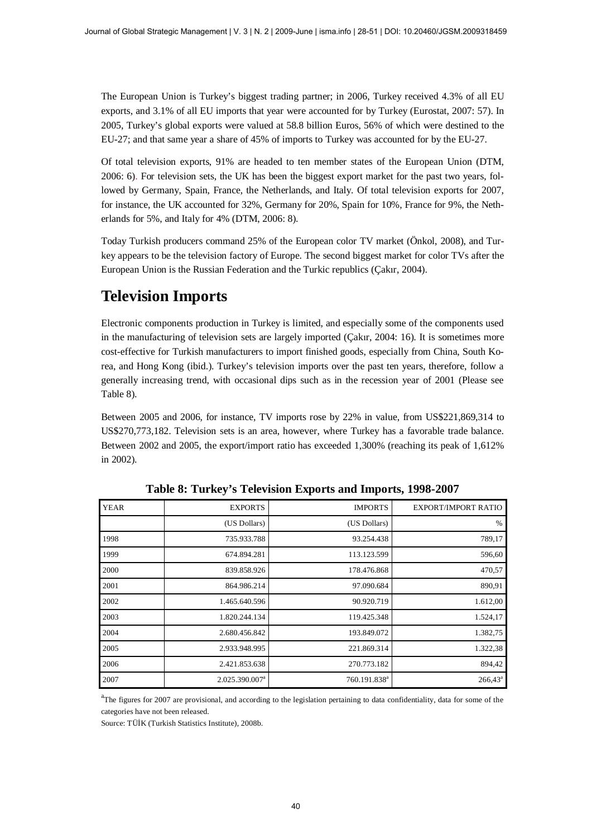The European Union is Turkey's biggest trading partner; in 2006, Turkey received 4.3% of all EU exports, and 3.1% of all EU imports that year were accounted for by Turkey (Eurostat, 2007: 57). In 2005, Turkey's global exports were valued at 58.8 billion Euros, 56% of which were destined to the EU-27; and that same year a share of 45% of imports to Turkey was accounted for by the EU-27.

Of total television exports, 91% are headed to ten member states of the European Union (DTM, 2006: 6). For television sets, the UK has been the biggest export market for the past two years, followed by Germany, Spain, France, the Netherlands, and Italy. Of total television exports for 2007, for instance, the UK accounted for 32%, Germany for 20%, Spain for 10%, France for 9%, the Netherlands for 5%, and Italy for 4% (DTM, 2006: 8).

Today Turkish producers command 25% of the European color TV market (Önkol, 2008), and Turkey appears to be the television factory of Europe. The second biggest market for color TVs after the European Union is the Russian Federation and the Turkic republics (Çakır, 2004).

# **Television Imports**

Electronic components production in Turkey is limited, and especially some of the components used in the manufacturing of television sets are largely imported (Cakır, 2004: 16). It is sometimes more cost-effective for Turkish manufacturers to import finished goods, especially from China, South Korea, and Hong Kong (ibid.). Turkey's television imports over the past ten years, therefore, follow a generally increasing trend, with occasional dips such as in the recession year of 2001 (Please see Table 8).

Between 2005 and 2006, for instance, TV imports rose by 22% in value, from US\$221,869,314 to US\$270,773,182. Television sets is an area, however, where Turkey has a favorable trade balance. Between 2002 and 2005, the export/import ratio has exceeded 1,300% (reaching its peak of 1,612% in 2002).

| <b>YEAR</b> | <b>EXPORTS</b>             | <b>IMPORTS</b>           | <b>EXPORT/IMPORT RATIO</b> |
|-------------|----------------------------|--------------------------|----------------------------|
|             | (US Dollars)               | (US Dollars)             | $\frac{0}{0}$              |
| 1998        | 735.933.788                | 93.254.438               | 789,17                     |
| 1999        | 674.894.281                | 113.123.599              | 596,60                     |
| 2000        | 839.858.926                | 178.476.868              | 470,57                     |
| 2001        | 864.986.214                | 97.090.684               | 890,91                     |
| 2002        | 1.465.640.596              | 90.920.719               | 1.612,00                   |
| 2003        | 1.820.244.134              | 119.425.348              | 1.524,17                   |
| 2004        | 2.680.456.842              | 193.849.072              | 1.382,75                   |
| 2005        | 2.933.948.995              | 221.869.314              | 1.322,38                   |
| 2006        | 2.421.853.638              | 270.773.182              | 894,42                     |
| 2007        | 2.025.390.007 <sup>a</sup> | 760.191.838 <sup>a</sup> | $266,43^a$                 |

**Table 8: Turkey's Television Exports and Imports, 1998-2007**

<sup>a</sup>The figures for 2007 are provisional, and according to the legislation pertaining to data confidentiality, data for some of the categories have not been released.

Source: TÜİK (Turkish Statistics Institute), 2008b.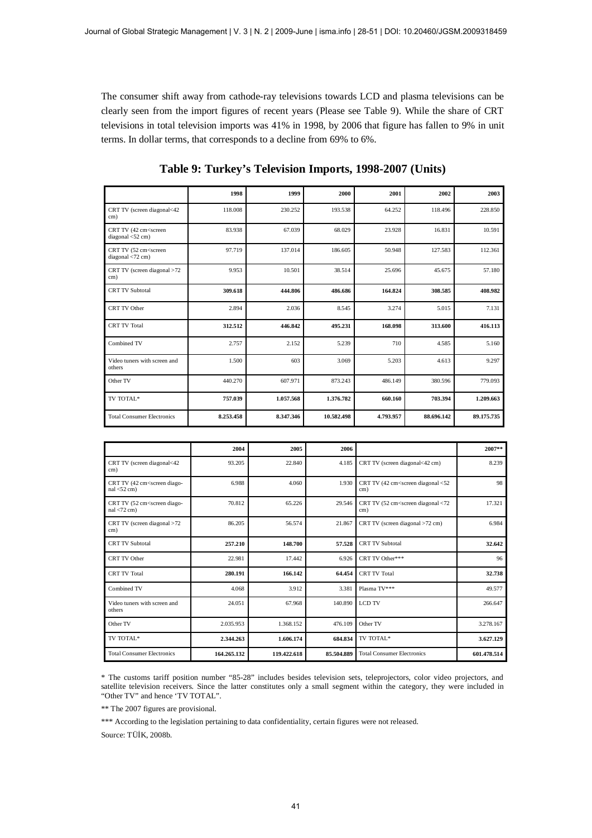The consumer shift away from cathode-ray televisions towards LCD and plasma televisions can be clearly seen from the import figures of recent years (Please see Table 9). While the share of CRT televisions in total television imports was 41% in 1998, by 2006 that figure has fallen to 9% in unit terms. In dollar terms, that corresponds to a decline from 69% to 6%.

|                                                                        | 1998      | 1999      | 2000       | 2001      | 2002       | 2003       |
|------------------------------------------------------------------------|-----------|-----------|------------|-----------|------------|------------|
| CRT TV (screen diagonal<42<br>cm)                                      | 118,008   | 230.252   | 193.538    | 64.252    | 118.496    | 228.850    |
| CRT TV (42 cm <screen<br>diagonal <math>&lt;</math> 52 cm)</screen<br> | 83.938    | 67.039    | 68.029     | 23.928    | 16.831     | 10.591     |
| CRT TV (52 cm <screen<br>diagonal &lt;72 cm)</screen<br>               | 97.719    | 137.014   | 186.605    | 50.948    | 127.583    | 112.361    |
| CRT TV (screen diagonal >72<br>cm)                                     | 9.953     | 10.501    | 38.514     | 25.696    | 45.675     | 57.180     |
| <b>CRT TV Subtotal</b>                                                 | 309.618   | 444.806   | 486.686    | 164.824   | 308.585    | 408.982    |
| CRT TV Other                                                           | 2.894     | 2.036     | 8.545      | 3.274     | 5.015      | 7.131      |
| <b>CRT TV Total</b>                                                    | 312.512   | 446.842   | 495.231    | 168.098   | 313.600    | 416.113    |
| Combined TV                                                            | 2.757     | 2.152     | 5.239      | 710       | 4.585      | 5.160      |
| Video tuners with screen and<br>others                                 | 1.500     | 603       | 3.069      | 5.203     | 4.613      | 9.297      |
| Other TV                                                               | 440.270   | 607.971   | 873.243    | 486.149   | 380.596    | 779.093    |
| TV TOTAL*                                                              | 757.039   | 1.057.568 | 1.376.782  | 660.160   | 703.394    | 1.209.663  |
| <b>Total Consumer Electronics</b>                                      | 8.253.458 | 8.347.346 | 10.582.498 | 4.793.957 | 88.696.142 | 89.175.735 |

**Table 9: Turkey's Television Imports, 1998-2007 (Units)**

|                                                                          | 2004        | 2005        | 2006       |                                                          | $2007**$    |
|--------------------------------------------------------------------------|-------------|-------------|------------|----------------------------------------------------------|-------------|
| CRT TV (screen diagonal<42<br>cm)                                        | 93.205      | 22.840      | 4.185      | CRT TV (screen diagonal<42 cm)                           | 8.239       |
| CRT TV (42 cm <screen diago-<br=""><math>nal &lt; 52</math> cm)</screen> | 6.988       | 4.060       | 1.930      | CRT TV (42 cm <screen <52<br="" diagonal="">cm)</screen> | 98          |
| CRT TV (52 cm <screen diago-<br=""><math>nal &lt; 72</math> cm)</screen> | 70.812      | 65.226      | 29.546     | CRT TV (52 cm <screen <72<br="" diagonal="">cm)</screen> | 17.321      |
| CRT TV (screen diagonal >72<br>cm)                                       | 86.205      | 56.574      | 21.867     | CRT TV (screen diagonal >72 cm)                          | 6.984       |
| <b>CRT TV Subtotal</b>                                                   | 257.210     | 148.700     | 57.528     | <b>CRT TV Subtotal</b>                                   | 32.642      |
| CRT TV Other                                                             | 22.981      | 17.442      | 6.926      | CRT TV Other***                                          | 96          |
| <b>CRT TV Total</b>                                                      | 280.191     | 166.142     | 64.454     | <b>CRT TV Total</b>                                      | 32.738      |
| Combined TV                                                              | 4.068       | 3.912       | 3.381      | Plasma TV***                                             | 49.577      |
| Video tuners with screen and<br>others                                   | 24.051      | 67.968      | 140.890    | <b>LCD TV</b>                                            | 266.647     |
| Other TV                                                                 | 2.035.953   | 1.368.152   | 476.109    | Other TV                                                 | 3.278.167   |
| TV TOTAL*                                                                | 2.344.263   | 1.606.174   | 684.834    | TV TOTAL*                                                | 3.627.129   |
| <b>Total Consumer Electronics</b>                                        | 164.265.132 | 119.422.618 | 85.504.889 | <b>Total Consumer Electronics</b>                        | 601.478.514 |

\* The customs tariff position number "85-28" includes besides television sets, teleprojectors, color video projectors, and satellite television receivers. Since the latter constitutes only a small segment within the category, they were included in "Other TV" and hence 'TV TOTAL".

\*\* The 2007 figures are provisional.

\*\*\* According to the legislation pertaining to data confidentiality, certain figures were not released.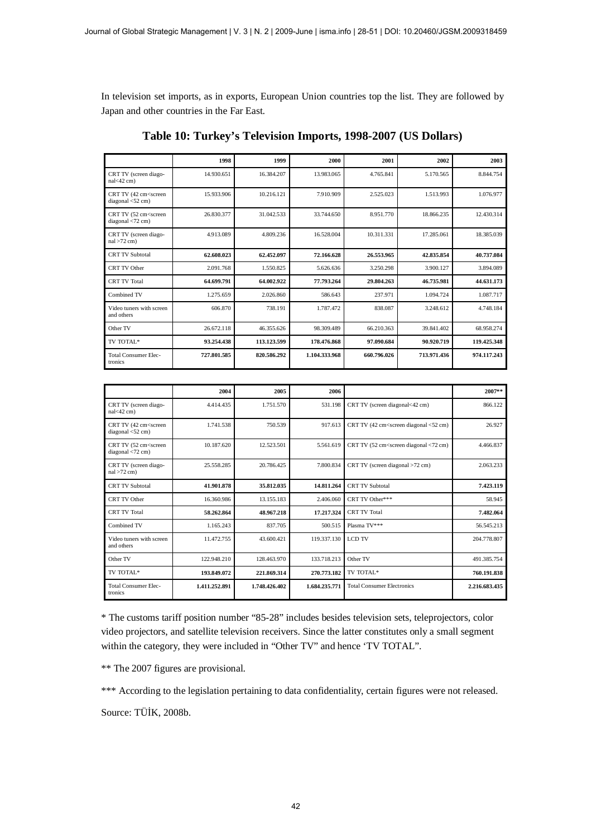In television set imports, as in exports, European Union countries top the list. They are followed by Japan and other countries in the Far East.

|                                                                       | 1998        | 1999        | 2000          | 2001        | 2002        | 2003        |
|-----------------------------------------------------------------------|-------------|-------------|---------------|-------------|-------------|-------------|
| CRT TV (screen diago-<br>$nal < 42$ cm)                               | 14.930.651  | 16.384.207  | 13.983.065    | 4.765.841   | 5.170.565   | 8.844.754   |
| CRT TV (42 cm <screen<br>diagonal <math>&lt;</math>52 cm)</screen<br> | 15.933.906  | 10.216.121  | 7.910.909     | 2.525.023   | 1.513.993   | 1.076.977   |
| CRT TV (52 cm <screen<br>diagonal <math>&lt;</math>72 cm)</screen<br> | 26.830.377  | 31.042.533  | 33.744.650    | 8.951.770   | 18.866.235  | 12.430.314  |
| CRT TV (screen diago-<br>$nal > 72$ cm)                               | 4.913.089   | 4.809.236   | 16.528.004    | 10.311.331  | 17.285.061  | 18.385.039  |
| <b>CRT TV Subtotal</b>                                                | 62.608.023  | 62.452.097  | 72.166.628    | 26.553.965  | 42.835.854  | 40.737.084  |
| CRT TV Other                                                          | 2.091.768   | 1.550.825   | 5.626.636     | 3.250.298   | 3.900.127   | 3.894.089   |
| <b>CRT TV Total</b>                                                   | 64.699.791  | 64.002.922  | 77.793.264    | 29.804.263  | 46.735.981  | 44.631.173  |
| Combined TV                                                           | 1.275.659   | 2.026.860   | 586.643       | 237.971     | 1.094.724   | 1.087.717   |
| Video tuners with screen<br>and others                                | 606.870     | 738.191     | 1.787.472     | 838.087     | 3.248.612   | 4.748.184   |
| Other TV                                                              | 26.672.118  | 46.355.626  | 98.309.489    | 66.210.363  | 39.841.402  | 68.958.274  |
| TV TOTAL*                                                             | 93.254.438  | 113.123.599 | 178.476.868   | 97.090.684  | 90.920.719  | 119.425.348 |
| <b>Total Consumer Elec-</b><br>tronics                                | 727.801.585 | 820.586.292 | 1.104.333.968 | 660.796.026 | 713.971.436 | 974.117.243 |

**Table 10: Turkey's Television Imports, 1998-2007 (US Dollars)**

|                                                                       | 2004          | 2005          | 2006          |                                                                                    | 2007**        |
|-----------------------------------------------------------------------|---------------|---------------|---------------|------------------------------------------------------------------------------------|---------------|
| CRT TV (screen diago-<br>$nal < 42$ cm)                               | 4.414.435     | 1.751.570     | 531.198       | CRT TV (screen diagonal<42 cm)                                                     | 866.122       |
| CRT TV (42 cm <screen<br>diagonal &lt;52 cm)</screen<br>              | 1.741.538     | 750.539       | 917.613       | CRT TV (42 cm <screen <52="" cm)<="" diagonal="" td=""><td>26.927</td></screen>    | 26.927        |
| CRT TV (52 cm <screen<br>diagonal <math>&lt;</math>72 cm)</screen<br> | 10.187.620    | 12.523.501    | 5.561.619     | CRT TV (52 cm <screen <72="" cm)<="" diagonal="" td=""><td>4.466.837</td></screen> | 4.466.837     |
| CRT TV (screen diago-<br>$nal > 72$ cm)                               | 25.558.285    | 20.786.425    | 7.800.834     | CRT TV (screen diagonal >72 cm)                                                    | 2.063.233     |
| <b>CRT TV Subtotal</b>                                                | 41.901.878    | 35.812.035    | 14.811.264    | <b>CRT TV Subtotal</b>                                                             | 7.423.119     |
| CRT TV Other                                                          | 16.360.986    | 13.155.183    | 2.406.060     | CRT TV Other***                                                                    | 58.945        |
| <b>CRT TV Total</b>                                                   | 58.262.864    | 48.967.218    | 17.217.324    | <b>CRT TV Total</b>                                                                | 7.482.064     |
| Combined TV                                                           | 1.165.243     | 837.705       | 500.515       | Plasma TV***                                                                       | 56.545.213    |
| Video tuners with screen<br>and others                                | 11.472.755    | 43.600.421    | 119.337.130   | LCD TV                                                                             | 204.778.807   |
| Other TV                                                              | 122.948.210   | 128.463.970   | 133.718.213   | Other TV                                                                           | 491.385.754   |
| TV TOTAL*                                                             | 193.849.072   | 221.869.314   | 270.773.182   | TV TOTAL*                                                                          | 760.191.838   |
| <b>Total Consumer Elec-</b><br>tronics                                | 1.411.252.891 | 1.748.426.402 | 1.684.235.771 | <b>Total Consumer Electronics</b>                                                  | 2.216.683.435 |

\* The customs tariff position number "85-28" includes besides television sets, teleprojectors, color video projectors, and satellite television receivers. Since the latter constitutes only a small segment within the category, they were included in "Other TV" and hence 'TV TOTAL".

\*\* The 2007 figures are provisional.

\*\*\* According to the legislation pertaining to data confidentiality, certain figures were not released.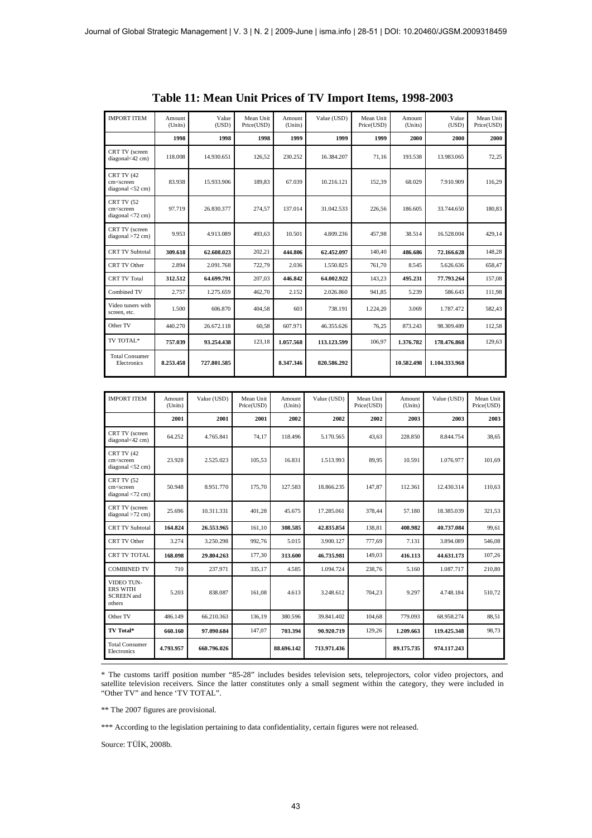| <b>IMPORT ITEM</b>                                                        | Amount<br>(Units) | Value<br>(USD) | Mean Unit<br>Price(USD) | Amount<br>(Units) | Value (USD) | Mean Unit<br>Price(USD) | Amount<br>(Units) | Value<br>(USD) | Mean Unit<br>Price(USD) |
|---------------------------------------------------------------------------|-------------------|----------------|-------------------------|-------------------|-------------|-------------------------|-------------------|----------------|-------------------------|
|                                                                           | 1998              | 1998           | 1998                    | 1999              | 1999        | 1999                    | 2000              | 2000           | 2000                    |
| CRT TV (screen<br>diagonal<42 cm)                                         | 118.008           | 14.930.651     | 126,52                  | 230.252           | 16.384.207  | 71,16                   | 193.538           | 13.983.065     | 72,25                   |
| CRT TV (42<br>cm <screen<br>diagonal <math>&lt;</math>52 cm)</screen<br>  | 83.938            | 15.933.906     | 189,83                  | 67.039            | 10.216.121  | 152,39                  | 68.029            | 7.910.909      | 116,29                  |
| CRT TV (52<br>cm <screen<br>diagonal <math>&lt;</math>72 cm)</screen<br>  | 97.719            | 26.830.377     | 274,57                  | 137.014           | 31.042.533  | 226,56                  | 186.605           | 33.744.650     | 180,83                  |
| CRT TV (screen<br>$diagonal > 72$ cm)                                     | 9.953             | 4.913.089      | 493,63                  | 10.501            | 4.809.236   | 457,98                  | 38.514            | 16.528.004     | 429,14                  |
| <b>CRT TV Subtotal</b>                                                    | 309.618           | 62.608.023     | 202,21                  | 444.806           | 62.452.097  | 140,40                  | 486.686           | 72.166.628     | 148,28                  |
| CRT TV Other                                                              | 2.894             | 2.091.768      | 722,79                  | 2.036             | 1.550.825   | 761,70                  | 8.545             | 5.626.636      | 658,47                  |
| <b>CRT TV Total</b>                                                       | 312.512           | 64.699.791     | 207,03                  | 446.842           | 64.002.922  | 143,23                  | 495.231           | 77.793.264     | 157,08                  |
| Combined TV                                                               | 2.757             | 1.275.659      | 462,70                  | 2.152             | 2.026.860   | 941,85                  | 5.239             | 586.643        | 111,98                  |
| Video tuners with<br>screen, etc.                                         | 1.500             | 606.870        | 404,58                  | 603               | 738.191     | 1.224,20                | 3.069             | 1.787.472      | 582,43                  |
| Other TV                                                                  | 440.270           | 26.672.118     | 60,58                   | 607.971           | 46.355.626  | 76,25                   | 873.243           | 98.309.489     | 112.58                  |
| TV TOTAL*                                                                 | 757.039           | 93.254.438     | 123,18                  | 1.057.568         | 113.123.599 | 106,97                  | 1.376.782         | 178.476.868    | 129,63                  |
| <b>Total Consumer</b><br>Electronics                                      | 8.253.458         | 727.801.585    |                         | 8.347.346         | 820.586.292 |                         | 10.582.498        | 1.104.333.968  |                         |
|                                                                           |                   |                |                         |                   |             |                         |                   |                |                         |
| <b>IMPORT ITEM</b>                                                        | Amount<br>(Units) | Value (USD)    | Mean Unit<br>Price(USD) | Amount<br>(Units) | Value (USD) | Mean Unit<br>Price(USD) | Amount<br>(Units) | Value (USD)    | Mean Unit<br>Price(USD) |
|                                                                           | 2001              | 2001           | 2001                    | 2002              | 2002        | 2002                    | 2003              | 2003           | 2003                    |
| CRT TV (screen<br>diagonal<42 cm)                                         | 64.252            | 4.765.841      | 74,17                   | 118.496           | 5.170.565   | 43,63                   | 228.850           | 8.844.754      | 38,65                   |
| CRT TV (42<br>cm <screen<br>diagonal <math>&lt;</math> 52 cm)</screen<br> | 23.928            | 2.525.023      | 105,53                  | 16.831            | 1.513.993   | 89,95                   | 10.591            | 1.076.977      | 101,69                  |
| <b>CRT TV (52</b><br>cm <screen<br>diagonal &lt;72 cm)</screen<br>        | 50.948            | 8.951.770      | 175,70                  | 127.583           | 18.866.235  | 147,87                  | 112.361           | 12.430.314     | 110,63                  |
| CRT TV (screen<br>diagonal $>72$ cm)                                      | 25.696            | 10.311.331     | 401,28                  | 45.675            | 17.285.061  | 378,44                  | 57.180            | 18.385.039     | 321,53                  |
| <b>CRT TV Subtotal</b>                                                    | 164.824           | 26.553.965     | 161,10                  | 308.585           | 42.835.854  | 138,81                  | 408.982           | 40.737.084     | 99,61                   |
| CRT TV Other                                                              | 3.274             | 3.250.298      | 992,76                  | 5.015             | 3.900.127   | 777,69                  | 7.131             | 3.894.089      | 546,08                  |
| <b>CRT TV TOTAL</b>                                                       | 168.098           | 29.804.263     | 177,30                  | 313.600           | 46.735.981  | 149,03                  | 416.113           | 44.631.173     | 107,26                  |
| <b>COMBINED TV</b>                                                        | 710               | 237.971        | 335,17                  | 4.585             | 1.094.724   | 238,76                  | 5.160             | 1.087.717      | 210,80                  |
| VIDEO TUN-<br>ERS WITH<br><b>SCREEN</b> and<br>others                     | 5.203             | 838.087        | 161,08                  | 4.613             | 3.248.612   | 704,23                  | 9.297             | 4.748.184      | 510,72                  |
| Other TV                                                                  | 486.149           | 66.210.363     | 136,19                  | 380.596           | 39.841.402  | 104,68                  | 779.093           | 68.958.274     | 88,51                   |
| TV Total*                                                                 | 660.160           | 97.090.684     | 147,07                  | 703.394           | 90.920.719  | 129,26                  | 1.209.663         | 119.425.348    | 98,73                   |
| <b>Total Consumer</b><br>Electronics                                      | 4.793.957         | 660.796.026    |                         | 88.696.142        | 713.971.436 |                         | 89.175.735        | 974.117.243    |                         |

**Table 11: Mean Unit Prices of TV Import Items, 1998-2003**

\* The customs tariff position number "85-28" includes besides television sets, teleprojectors, color video projectors, and satellite television receivers. Since the latter constitutes only a small segment within the category, they were included in "Other TV" and hence 'TV TOTAL".

\*\* The 2007 figures are provisional.

\*\*\* According to the legislation pertaining to data confidentiality, certain figures were not released.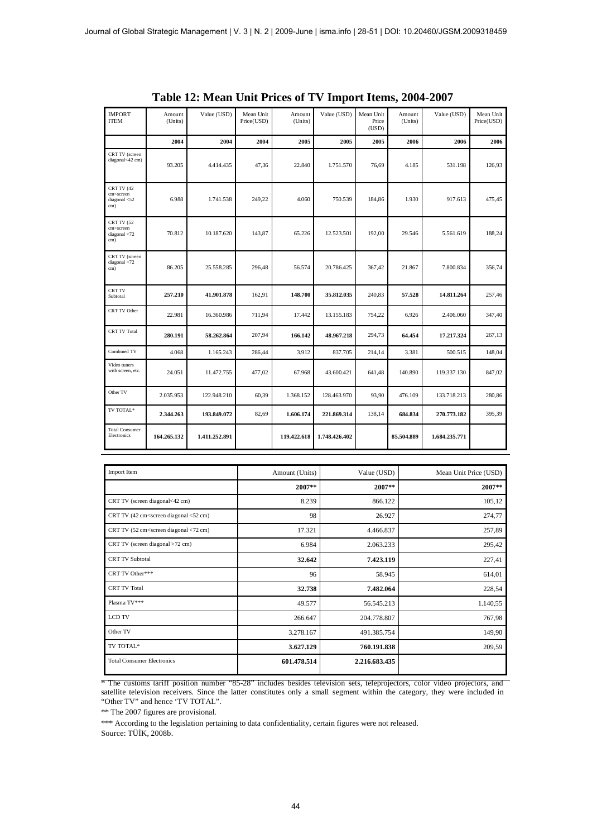| <b>IMPORT</b><br><b>ITEM</b>                                                  | Amount<br>(Units) | Value (USD)   | Mean Unit<br>Price(USD) | Amount<br>(Units) | Value (USD)   | Mean Unit<br>Price<br>(USD) | Amount<br>(Units) | Value (USD)   | Mean Unit<br>Price(USD) |
|-------------------------------------------------------------------------------|-------------------|---------------|-------------------------|-------------------|---------------|-----------------------------|-------------------|---------------|-------------------------|
|                                                                               | 2004              | 2004          | 2004                    | 2005              | 2005          | 2005                        | 2006              | 2006          | 2006                    |
| CRT TV (screen<br>diagonal<42 cm)                                             | 93.205            | 4.414.435     | 47,36                   | 22.840            | 1.751.570     | 76,69                       | 4.185             | 531.198       | 126,93                  |
| CRT TV (42<br>cm <screen<br>diagonal <math>&lt;</math> 52<br/>cm)</screen<br> | 6.988             | 1.741.538     | 249,22                  | 4.060             | 750.539       | 184,86                      | 1.930             | 917.613       | 475,45                  |
| CRT TV (52<br>cm <screen<br>diagonal &lt;72<br/>cm)</screen<br>               | 70.812            | 10.187.620    | 143,87                  | 65.226            | 12.523.501    | 192,00                      | 29.546            | 5.561.619     | 188,24                  |
| CRT TV (screen<br>diagonal $>72$<br>cm)                                       | 86.205            | 25.558.285    | 296,48                  | 56.574            | 20.786.425    | 367,42                      | 21.867            | 7.800.834     | 356,74                  |
| <b>CRT TV</b><br>Subtotal                                                     | 257,210           | 41.901.878    | 162,91                  | 148.700           | 35.812.035    | 240,83                      | 57.528            | 14.811.264    | 257,46                  |
| CRT TV Other                                                                  | 22.981            | 16.360.986    | 711,94                  | 17.442            | 13.155.183    | 754,22                      | 6.926             | 2.406.060     | 347,40                  |
| <b>CRT TV Total</b>                                                           | 280.191           | 58.262.864    | 207,94                  | 166.142           | 48.967.218    | 294,73                      | 64.454            | 17.217.324    | 267,13                  |
| Combined TV                                                                   | 4.068             | 1.165.243     | 286,44                  | 3.912             | 837.705       | 214,14                      | 3.381             | 500.515       | 148,04                  |
| Video tuners<br>with screen, etc.                                             | 24.051            | 11.472.755    | 477,02                  | 67.968            | 43.600.421    | 641,48                      | 140.890           | 119.337.130   | 847,02                  |
| Other TV                                                                      | 2.035.953         | 122.948.210   | 60,39                   | 1.368.152         | 128.463.970   | 93,90                       | 476.109           | 133.718.213   | 280,86                  |
| TV TOTAL*                                                                     | 2.344.263         | 193.849.072   | 82,69                   | 1.606.174         | 221.869.314   | 138,14                      | 684.834           | 270.773.182   | 395,39                  |
| <b>Total Consumer</b><br>Electronics                                          | 164.265.132       | 1.411.252.891 |                         | 119.422.618       | 1.748.426.402 |                             | 85.504.889        | 1.684.235.771 |                         |

**Table 12: Mean Unit Prices of TV Import Items, 2004-2007**

| Import Item                                                                                                      | Amount (Units) | Value (USD)   | Mean Unit Price (USD) |
|------------------------------------------------------------------------------------------------------------------|----------------|---------------|-----------------------|
|                                                                                                                  | $2007**$       | 2007**        | 2007**                |
| CRT TV (screen diagonal<42 cm)                                                                                   | 8.239          | 866.122       | 105,12                |
| CRT TV (42 cm <screen <52="" cm)<="" diagonal="" td=""><td>98</td><td>26.927</td><td>274,77</td></screen>        | 98             | 26.927        | 274,77                |
| CRT TV (52 cm <screen <72="" cm)<="" diagonal="" td=""><td>17.321</td><td>4.466.837</td><td>257,89</td></screen> | 17.321         | 4.466.837     | 257,89                |
| CRT TV (screen diagonal >72 cm)                                                                                  | 6.984          | 2.063.233     | 295,42                |
| <b>CRT TV Subtotal</b>                                                                                           | 32.642         | 7.423.119     | 227,41                |
| CRT TV Other***                                                                                                  | 96             | 58.945        | 614,01                |
| <b>CRT TV Total</b>                                                                                              | 32.738         | 7.482.064     | 228,54                |
| Plasma TV***                                                                                                     | 49.577         | 56.545.213    | 1.140,55              |
| <b>LCD TV</b>                                                                                                    | 266.647        | 204.778.807   | 767,98                |
| Other TV                                                                                                         | 3.278.167      | 491.385.754   | 149,90                |
| TV TOTAL*                                                                                                        | 3.627.129      | 760.191.838   | 209,59                |
| <b>Total Consumer Electronics</b>                                                                                | 601.478.514    | 2.216.683.435 |                       |

<sup>\*</sup> The customs tariff position number "85-28" includes besides television sets, teleprojectors, color video projectors, and satellite television receivers. Since the latter constitutes only a small segment within the category, they were included in "Other TV" and hence 'TV TOTAL".

\*\* The 2007 figures are provisional.

\*\*\* According to the legislation pertaining to data confidentiality, certain figures were not released. Source: TÜİK, 2008b.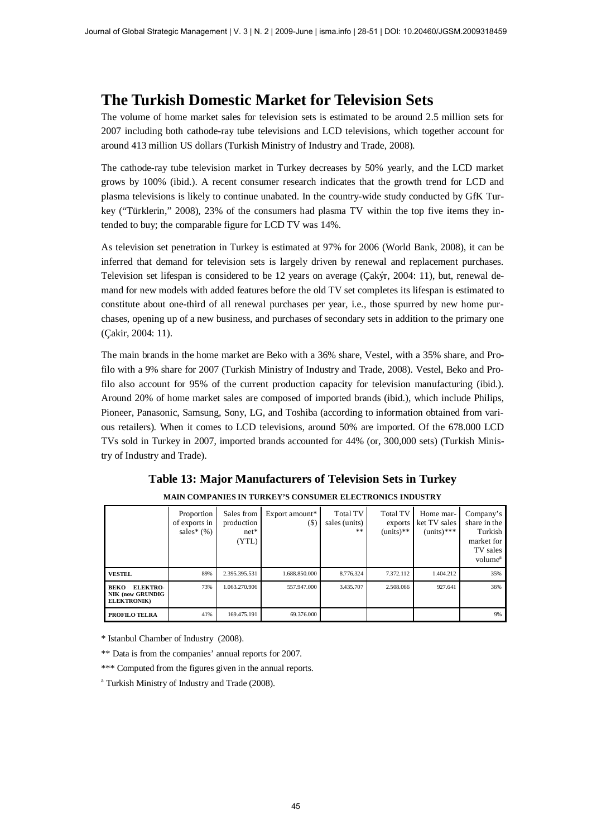## **The Turkish Domestic Market for Television Sets**

The volume of home market sales for television sets is estimated to be around 2.5 million sets for 2007 including both cathode-ray tube televisions and LCD televisions, which together account for around 413 million US dollars (Turkish Ministry of Industry and Trade, 2008).

The cathode-ray tube television market in Turkey decreases by 50% yearly, and the LCD market grows by 100% (ibid.). A recent consumer research indicates that the growth trend for LCD and plasma televisions is likely to continue unabated. In the country-wide study conducted by GfK Turkey ("Türklerin," 2008), 23% of the consumers had plasma TV within the top five items they intended to buy; the comparable figure for LCD TV was 14%.

As television set penetration in Turkey is estimated at 97% for 2006 (World Bank, 2008), it can be inferred that demand for television sets is largely driven by renewal and replacement purchases. Television set lifespan is considered to be 12 years on average (Çakýr, 2004: 11), but, renewal demand for new models with added features before the old TV set completes its lifespan is estimated to constitute about one-third of all renewal purchases per year, i.e., those spurred by new home purchases, opening up of a new business, and purchases of secondary sets in addition to the primary one (Çakir, 2004: 11).

The main brands in the home market are Beko with a 36% share, Vestel, with a 35% share, and Profilo with a 9% share for 2007 (Turkish Ministry of Industry and Trade, 2008). Vestel, Beko and Profilo also account for 95% of the current production capacity for television manufacturing (ibid.). Around 20% of home market sales are composed of imported brands (ibid.), which include Philips, Pioneer, Panasonic, Samsung, Sony, LG, and Toshiba (according to information obtained from various retailers). When it comes to LCD televisions, around 50% are imported. Of the 678.000 LCD TVs sold in Turkey in 2007, imported brands accounted for 44% (or, 300,000 sets) (Turkish Ministry of Industry and Trade).

|                                                                                 | Proportion<br>of exports in<br>sales* $(\%)$ | Sales from<br>production<br>$net*$<br>(YTL) | Export amount*<br>$(\$)$ | Total TV<br>sales (units)<br>** | <b>Total TV</b><br>exports<br>$(units)**$ | Home mar-<br>ket TV sales<br>$(units)$ *** | Company's<br>share in the<br>Turkish<br>market for<br>TV sales<br>volume <sup>a</sup> |
|---------------------------------------------------------------------------------|----------------------------------------------|---------------------------------------------|--------------------------|---------------------------------|-------------------------------------------|--------------------------------------------|---------------------------------------------------------------------------------------|
| <b>VESTEL</b>                                                                   | 89%                                          | 2.395.395.531                               | 1.688.850.000            | 8.776.324                       | 7.372.112                                 | 1.404.212                                  | 35%                                                                                   |
| <b>ELEKTRO-</b><br><b>BEKO</b><br><b>NIK (now GRUNDIG</b><br><b>ELEKTRONIK)</b> | 73%                                          | 1.063.270.906                               | 557.947.000              | 3.435.707                       | 2.508.066                                 | 927.641                                    | 36%                                                                                   |
| PROFILO TELRA                                                                   | 41%                                          | 169.475.191                                 | 69.376.000               |                                 |                                           |                                            | 9%                                                                                    |

**Table 13: Major Manufacturers of Television Sets in Turkey MAIN COMPANIES IN TURKEY'S CONSUMER ELECTRONICS INDUSTRY**

\* Istanbul Chamber of Industry (2008).

\*\* Data is from the companies' annual reports for 2007.

\*\*\* Computed from the figures given in the annual reports.

<sup>a</sup> Turkish Ministry of Industry and Trade (2008).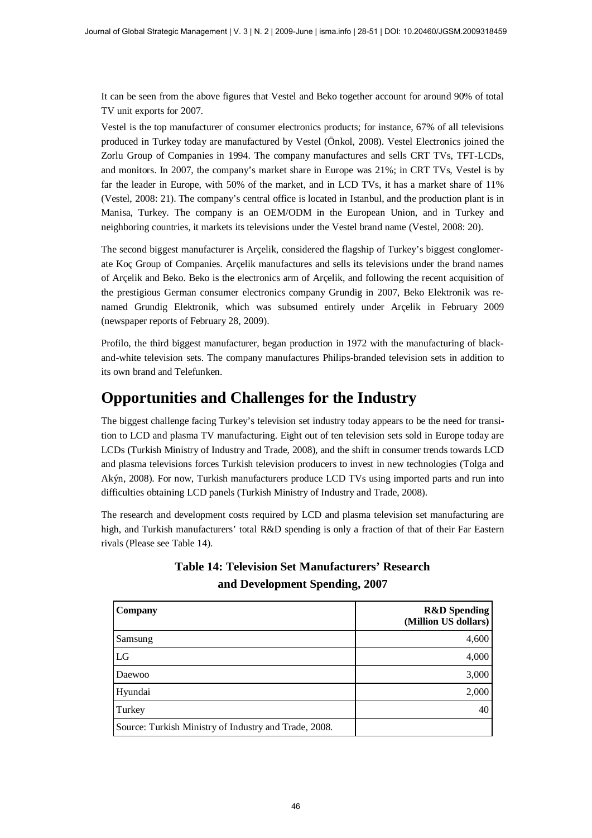It can be seen from the above figures that Vestel and Beko together account for around 90% of total TV unit exports for 2007.

Vestel is the top manufacturer of consumer electronics products; for instance, 67% of all televisions produced in Turkey today are manufactured by Vestel (Önkol, 2008). Vestel Electronics joined the Zorlu Group of Companies in 1994. The company manufactures and sells CRT TVs, TFT-LCDs, and monitors. In 2007, the company's market share in Europe was 21%; in CRT TVs, Vestel is by far the leader in Europe, with 50% of the market, and in LCD TVs, it has a market share of 11% (Vestel, 2008: 21). The company's central office is located in Istanbul, and the production plant is in Manisa, Turkey. The company is an OEM/ODM in the European Union, and in Turkey and neighboring countries, it markets its televisions under the Vestel brand name (Vestel, 2008: 20).

The second biggest manufacturer is Arçelik, considered the flagship of Turkey's biggest conglomerate Koç Group of Companies. Arçelik manufactures and sells its televisions under the brand names of Arçelik and Beko. Beko is the electronics arm of Arçelik, and following the recent acquisition of the prestigious German consumer electronics company Grundig in 2007, Beko Elektronik was renamed Grundig Elektronik, which was subsumed entirely under Arçelik in February 2009 (newspaper reports of February 28, 2009).

Profilo, the third biggest manufacturer, began production in 1972 with the manufacturing of blackand-white television sets. The company manufactures Philips-branded television sets in addition to its own brand and Telefunken.

## **Opportunities and Challenges for the Industry**

The biggest challenge facing Turkey's television set industry today appears to be the need for transition to LCD and plasma TV manufacturing. Eight out of ten television sets sold in Europe today are LCDs (Turkish Ministry of Industry and Trade, 2008), and the shift in consumer trends towards LCD and plasma televisions forces Turkish television producers to invest in new technologies (Tolga and Akýn, 2008). For now, Turkish manufacturers produce LCD TVs using imported parts and run into difficulties obtaining LCD panels (Turkish Ministry of Industry and Trade, 2008).

The research and development costs required by LCD and plasma television set manufacturing are high, and Turkish manufacturers' total R&D spending is only a fraction of that of their Far Eastern rivals (Please see Table 14).

| Company                                               | <b>R&amp;D</b> Spending<br>(Million US dollars) |
|-------------------------------------------------------|-------------------------------------------------|
| Samsung                                               | 4,600                                           |
| LG                                                    | 4,000                                           |
| Daewoo                                                | 3,000                                           |
| Hyundai                                               | 2,000                                           |
| Turkey                                                | 40                                              |
| Source: Turkish Ministry of Industry and Trade, 2008. |                                                 |

#### **Table 14: Television Set Manufacturers' Research and Development Spending, 2007**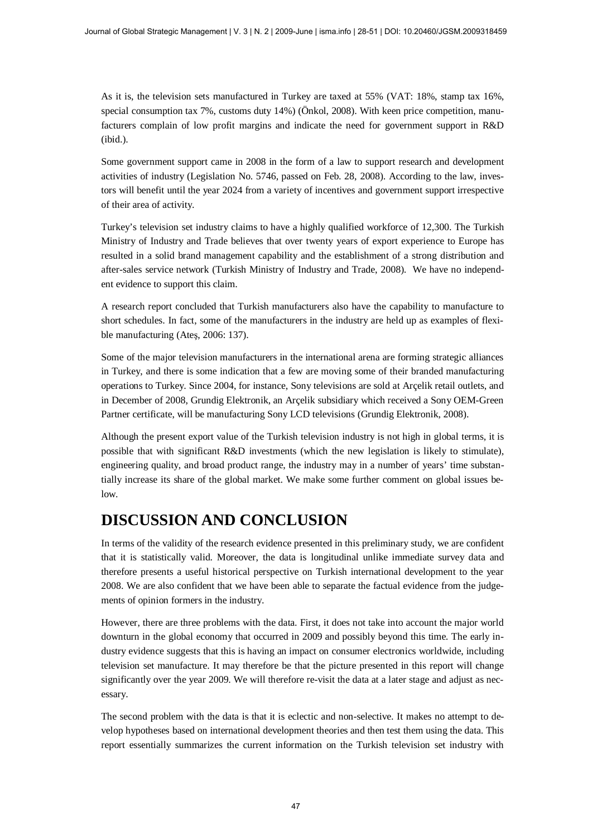As it is, the television sets manufactured in Turkey are taxed at 55% (VAT: 18%, stamp tax 16%, special consumption tax 7%, customs duty 14%) (Önkol, 2008). With keen price competition, manufacturers complain of low profit margins and indicate the need for government support in R&D (ibid.).

Some government support came in 2008 in the form of a law to support research and development activities of industry (Legislation No. 5746, passed on Feb. 28, 2008). According to the law, investors will benefit until the year 2024 from a variety of incentives and government support irrespective of their area of activity.

Turkey's television set industry claims to have a highly qualified workforce of 12,300. The Turkish Ministry of Industry and Trade believes that over twenty years of export experience to Europe has resulted in a solid brand management capability and the establishment of a strong distribution and after-sales service network (Turkish Ministry of Industry and Trade, 2008). We have no independent evidence to support this claim.

A research report concluded that Turkish manufacturers also have the capability to manufacture to short schedules. In fact, some of the manufacturers in the industry are held up as examples of flexible manufacturing (Ates, 2006: 137).

Some of the major television manufacturers in the international arena are forming strategic alliances in Turkey, and there is some indication that a few are moving some of their branded manufacturing operations to Turkey. Since 2004, for instance, Sony televisions are sold at Arçelik retail outlets, and in December of 2008, Grundig Elektronik, an Arçelik subsidiary which received a Sony OEM-Green Partner certificate, will be manufacturing Sony LCD televisions (Grundig Elektronik, 2008).

Although the present export value of the Turkish television industry is not high in global terms, it is possible that with significant R&D investments (which the new legislation is likely to stimulate), engineering quality, and broad product range, the industry may in a number of years' time substantially increase its share of the global market. We make some further comment on global issues below.

# **DISCUSSION AND CONCLUSION**

In terms of the validity of the research evidence presented in this preliminary study, we are confident that it is statistically valid. Moreover, the data is longitudinal unlike immediate survey data and therefore presents a useful historical perspective on Turkish international development to the year 2008. We are also confident that we have been able to separate the factual evidence from the judgements of opinion formers in the industry.

However, there are three problems with the data. First, it does not take into account the major world downturn in the global economy that occurred in 2009 and possibly beyond this time. The early industry evidence suggests that this is having an impact on consumer electronics worldwide, including television set manufacture. It may therefore be that the picture presented in this report will change significantly over the year 2009. We will therefore re-visit the data at a later stage and adjust as necessary.

The second problem with the data is that it is eclectic and non-selective. It makes no attempt to develop hypotheses based on international development theories and then test them using the data. This report essentially summarizes the current information on the Turkish television set industry with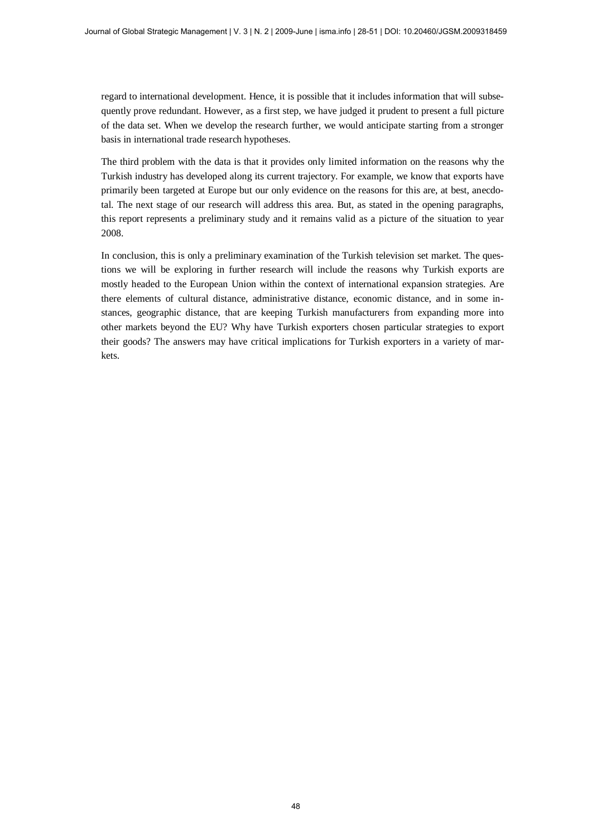regard to international development. Hence, it is possible that it includes information that will subsequently prove redundant. However, as a first step, we have judged it prudent to present a full picture of the data set. When we develop the research further, we would anticipate starting from a stronger basis in international trade research hypotheses.

The third problem with the data is that it provides only limited information on the reasons why the Turkish industry has developed along its current trajectory. For example, we know that exports have primarily been targeted at Europe but our only evidence on the reasons for this are, at best, anecdotal. The next stage of our research will address this area. But, as stated in the opening paragraphs, this report represents a preliminary study and it remains valid as a picture of the situation to year 2008.

In conclusion, this is only a preliminary examination of the Turkish television set market. The questions we will be exploring in further research will include the reasons why Turkish exports are mostly headed to the European Union within the context of international expansion strategies. Are there elements of cultural distance, administrative distance, economic distance, and in some instances, geographic distance, that are keeping Turkish manufacturers from expanding more into other markets beyond the EU? Why have Turkish exporters chosen particular strategies to export their goods? The answers may have critical implications for Turkish exporters in a variety of markets.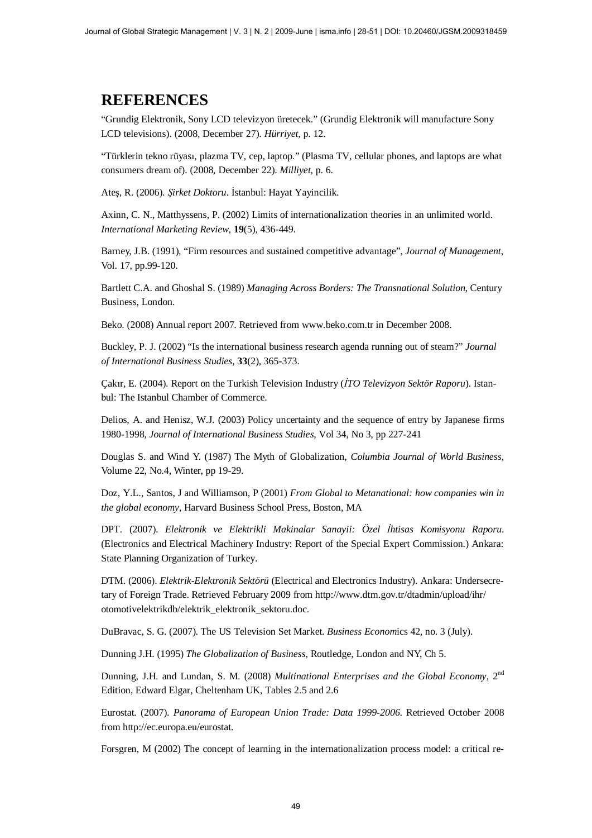### **REFERENCES**

"Grundig Elektronik, Sony LCD televizyon üretecek." (Grundig Elektronik will manufacture Sony LCD televisions). (2008, December 27). *Hürriyet*, p. 12.

"Türklerin tekno rüyası, plazma TV, cep, laptop." (Plasma TV, cellular phones, and laptops are what consumers dream of). (2008, December 22). *Milliyet*, p. 6.

Ateş, R. (2006). *Şirket Doktoru*. İstanbul: Hayat Yayincilik.

Axinn, C. N., Matthyssens, P. (2002) Limits of internationalization theories in an unlimited world. *International Marketing Review*, **19**(5), 436-449.

Barney, J.B. (1991), "Firm resources and sustained competitive advantage", *Journal of Management*, Vol. 17, pp.99-120.

Bartlett C.A. and Ghoshal S. (1989) *Managing Across Borders: The Transnational Solution*, Century Business, London.

Beko. (2008) Annual report 2007. Retrieved from [www.beko.com.tr](http://www.beko.com.tr/) in December 2008.

Buckley, P. J. (2002) "Is the international business research agenda running out of steam?" *Journal of International Business Studies,* **33**(2), 365-373.

Çakır, E. (2004). Report on the Turkish Television Industry (*İTO Televizyon Sektör Raporu*). Istanbul: The Istanbul Chamber of Commerce.

Delios, A. and Henisz, W.J. (2003) Policy uncertainty and the sequence of entry by Japanese firms 1980-1998, *Journal of International Business Studies*, Vol 34, No 3, pp 227-241

Douglas S. and Wind Y. (1987) The Myth of Globalization, *Columbia Journal of World Business*, Volume 22, No.4, Winter, pp 19-29.

Doz, Y.L., Santos, J and Williamson, P (2001) *From Global to Metanational: how companies win in the global economy*, Harvard Business School Press, Boston, MA

DPT. (2007). *Elektronik ve Elektrikli Makinalar Sanayii: Özel øhtisas Komisyonu Raporu*. (Electronics and Electrical Machinery Industry: Report of the Special Expert Commission.) Ankara: State Planning Organization of Turkey.

DTM. (2006). *Elektrik-Elektronik Sektörü* (Electrical and Electronics Industry). Ankara: Undersecretary of Foreign Trade. Retrieved February 2009 from<http://www.dtm.gov.tr/dtadmin/upload/ihr/> otomotivelektrikdb/elektrik\_elektronik\_sektoru.doc.

DuBravac, S. G. (2007). The US Television Set Market. *Business Econom*ics 42, no. 3 (July).

Dunning J.H. (1995) *The Globalization of Business*, Routledge, London and NY, Ch 5.

Dunning, J.H. and Lundan, S. M. (2008) *Multinational Enterprises and the Global Economy*, 2nd Edition, Edward Elgar, Cheltenham UK, Tables 2.5 and 2.6

Eurostat. (2007). *Panorama of European Union Trade: Data 1999-2006*. Retrieved October 2008 from <http://ec.europa.eu/eurostat.>

Forsgren, M (2002) The concept of learning in the internationalization process model: a critical re-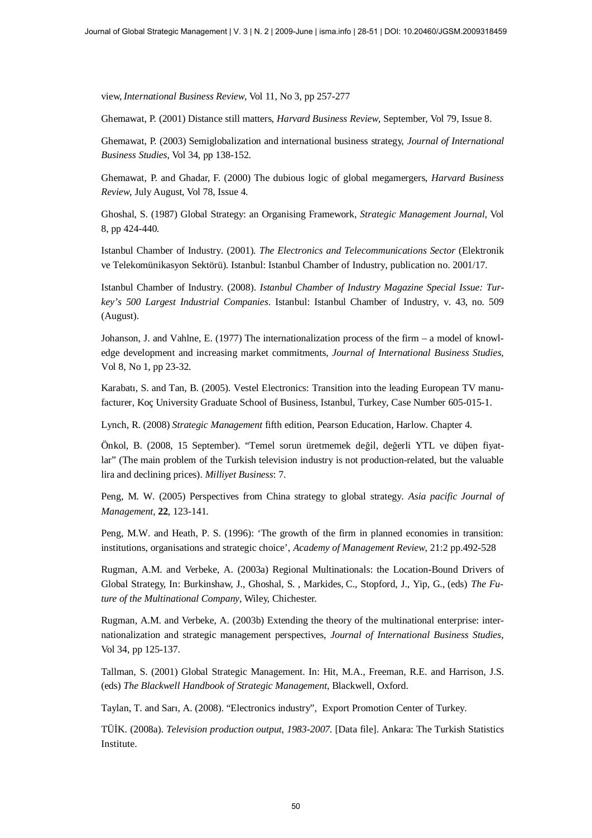view, *International Business Review*, Vol 11, No 3, pp 257-277

Ghemawat, P. (2001) Distance still matters, *Harvard Business Review*, September, Vol 79, Issue 8.

Ghemawat, P. (2003) Semiglobalization and international business strategy, *Journal of International Business Studies*, Vol 34, pp 138-152.

Ghemawat, P. and Ghadar, F. (2000) The dubious logic of global megamergers, *Harvard Business Review*, July August, Vol 78, Issue 4.

Ghoshal, S. (1987) Global Strategy: an Organising Framework, *Strategic Management Journal*, Vol 8, pp 424-440.

Istanbul Chamber of Industry. (2001). *The Electronics and Telecommunications Sector* (Elektronik ve Telekomünikasyon Sektörü). Istanbul: Istanbul Chamber of Industry, publication no. 2001/17.

Istanbul Chamber of Industry. (2008). *Istanbul Chamber of Industry Magazine Special Issue: Turkey's 500 Largest Industrial Companies*. Istanbul: Istanbul Chamber of Industry, v. 43, no. 509 (August).

Johanson, J. and Vahlne, E. (1977) The internationalization process of the firm – a model of knowledge development and increasing market commitments, *Journal of International Business Studies*, Vol 8, No 1, pp 23-32.

Karabatı, S. and Tan, B. (2005). Vestel Electronics: Transition into the leading European TV manufacturer, Koç University Graduate School of Business, Istanbul, Turkey, Case Number 605-015-1.

Lynch, R. (2008) *Strategic Management* fifth edition, Pearson Education, Harlow. Chapter 4.

Önkol, B. (2008, 15 September). "Temel sorun üretmemek değil, değerli YTL ve düþen fiyatlar" (The main problem of the Turkish television industry is not production-related, but the valuable lira and declining prices). *Milliyet Business*: 7.

Peng, M. W. (2005) Perspectives from China strategy to global strategy. *Asia pacific Journal of Management,* **22**, 123-141.

Peng, M.W. and Heath, P. S. (1996): 'The growth of the firm in planned economies in transition: institutions, organisations and strategic choice', *Academy of Management Review*, 21:2 pp.492-528

Rugman, A.M. and Verbeke, A. (2003a) Regional Multinationals: the Location-Bound Drivers of Global Strategy, In: Burkinshaw, J., Ghoshal, S. , Markides, C., Stopford, J., Yip, G., (eds) *The Future of the Multinational Company*, Wiley, Chichester.

Rugman, A.M. and Verbeke, A. (2003b) Extending the theory of the multinational enterprise: internationalization and strategic management perspectives, *Journal of International Business Studies*, Vol 34, pp 125-137.

Tallman, S. (2001) Global Strategic Management. In: Hit, M.A., Freeman, R.E. and Harrison, J.S. (eds) *The Blackwell Handbook of Strategic Management*, Blackwell, Oxford.

Taylan, T. and Sarı, A. (2008). "Electronics industry", Export Promotion Center of Turkey.

TÜøK. (2008a). *Television production output, 1983-2007.* [Data file]. Ankara: The Turkish Statistics Institute.